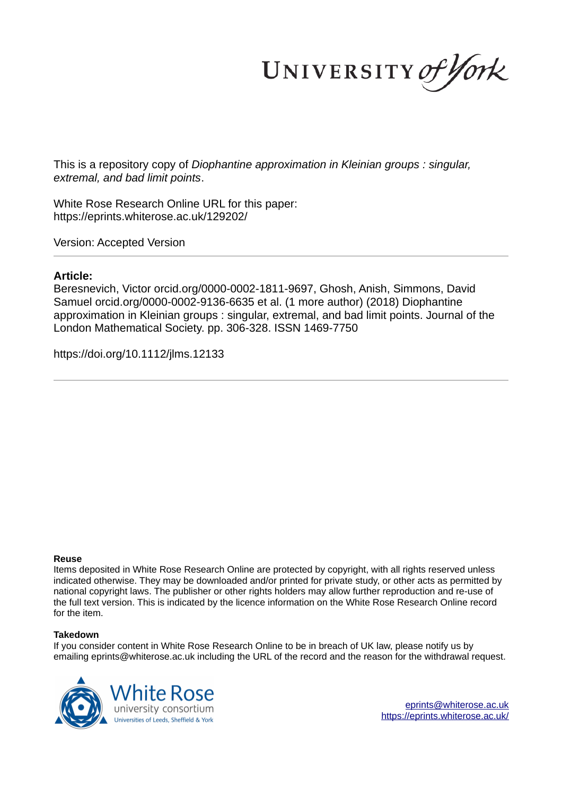UNIVERSITY of York

This is a repository copy of *Diophantine approximation in Kleinian groups : singular, extremal, and bad limit points*.

White Rose Research Online URL for this paper: https://eprints.whiterose.ac.uk/129202/

Version: Accepted Version

## **Article:**

Beresnevich, Victor orcid.org/0000-0002-1811-9697, Ghosh, Anish, Simmons, David Samuel orcid.org/0000-0002-9136-6635 et al. (1 more author) (2018) Diophantine approximation in Kleinian groups : singular, extremal, and bad limit points. Journal of the London Mathematical Society. pp. 306-328. ISSN 1469-7750

https://doi.org/10.1112/jlms.12133

### **Reuse**

Items deposited in White Rose Research Online are protected by copyright, with all rights reserved unless indicated otherwise. They may be downloaded and/or printed for private study, or other acts as permitted by national copyright laws. The publisher or other rights holders may allow further reproduction and re-use of the full text version. This is indicated by the licence information on the White Rose Research Online record for the item.

### **Takedown**

If you consider content in White Rose Research Online to be in breach of UK law, please notify us by emailing eprints@whiterose.ac.uk including the URL of the record and the reason for the withdrawal request.



eprints@whiterose.ac.uk https://eprints.whiterose.ac.uk/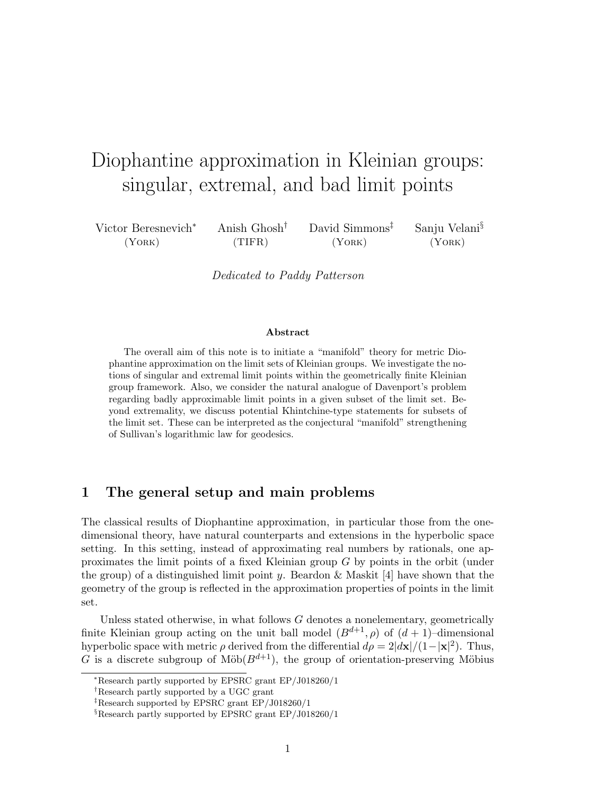# Diophantine approximation in Kleinian groups: singular, extremal, and bad limit points

| Victor Beresnevich <sup>*</sup> | Anish Ghosh <sup>†</sup> | David Simmons <sup>†</sup> | Sanju Velani <sup>§</sup> |
|---------------------------------|--------------------------|----------------------------|---------------------------|
| (YORK)                          | (TIFR)                   | (YORK)                     | (YORK)                    |

Dedicated to Paddy Patterson

#### Abstract

The overall aim of this note is to initiate a "manifold" theory for metric Diophantine approximation on the limit sets of Kleinian groups. We investigate the notions of singular and extremal limit points within the geometrically finite Kleinian group framework. Also, we consider the natural analogue of Davenport's problem regarding badly approximable limit points in a given subset of the limit set. Beyond extremality, we discuss potential Khintchine-type statements for subsets of the limit set. These can be interpreted as the conjectural "manifold" strengthening of Sullivan's logarithmic law for geodesics.

# 1 The general setup and main problems

The classical results of Diophantine approximation, in particular those from the onedimensional theory, have natural counterparts and extensions in the hyperbolic space setting. In this setting, instead of approximating real numbers by rationals, one approximates the limit points of a fixed Kleinian group G by points in the orbit (under the group) of a distinguished limit point y. Beardon & Maskit [4] have shown that the geometry of the group is reflected in the approximation properties of points in the limit set.

Unless stated otherwise, in what follows  $G$  denotes a nonelementary, geometrically finite Kleinian group acting on the unit ball model  $(B^{d+1}, \rho)$  of  $(d+1)$ –dimensional hyperbolic space with metric  $\rho$  derived from the differential  $d\rho = 2|\mathbf{dx}|/(1-|\mathbf{x}|^2)$ . Thus, G is a discrete subgroup of Möb $(B^{d+1})$ , the group of orientation-preserving Möbius

<sup>∗</sup>Research partly supported by EPSRC grant EP/J018260/1

<sup>†</sup>Research partly supported by a UGC grant

<sup>‡</sup>Research supported by EPSRC grant EP/J018260/1

 $\S$ Research partly supported by EPSRC grant EP/J018260/1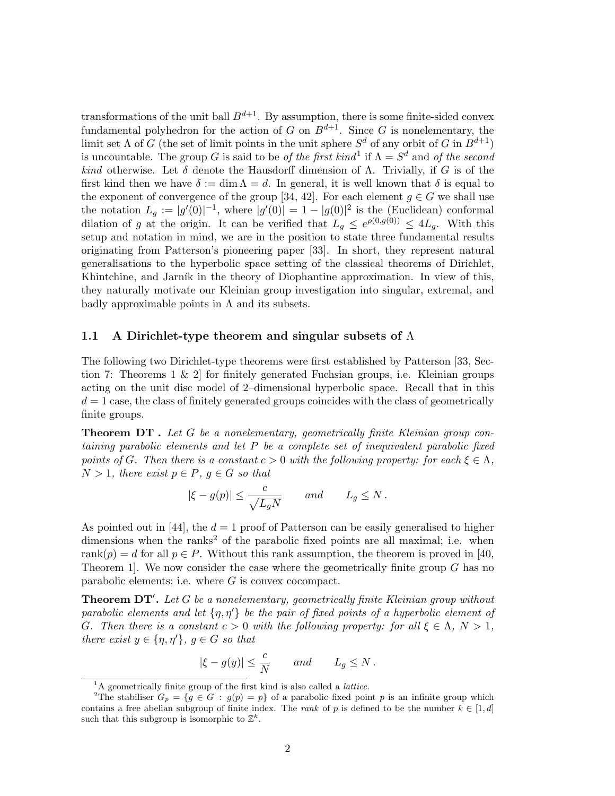transformations of the unit ball  $B^{d+1}$ . By assumption, there is some finite-sided convex fundamental polyhedron for the action of G on  $B^{d+1}$ . Since G is nonelementary, the limit set  $\Lambda$  of G (the set of limit points in the unit sphere  $S^d$  of any orbit of G in  $B^{d+1}$ ) is uncountable. The group G is said to be *of the first kind*<sup>1</sup> if  $\Lambda = S^d$  and *of the second kind* otherwise. Let  $\delta$  denote the Hausdorff dimension of  $\Lambda$ . Trivially, if G is of the first kind then we have  $\delta := \dim \Lambda = d$ . In general, it is well known that  $\delta$  is equal to the exponent of convergence of the group [34, 42]. For each element  $g \in G$  we shall use the notation  $L_g := |g'(0)|^{-1}$ , where  $|g'(0)| = 1 - |g(0)|^2$  is the (Euclidean) conformal dilation of g at the origin. It can be verified that  $L_g \n\leq e^{\rho(0,g(0))} \leq 4L_g$ . With this setup and notation in mind, we are in the position to state three fundamental results originating from Patterson's pioneering paper [33]. In short, they represent natural generalisations to the hyperbolic space setting of the classical theorems of Dirichlet, Khintchine, and Jarník in the theory of Diophantine approximation. In view of this, they naturally motivate our Kleinian group investigation into singular, extremal, and badly approximable points in  $\Lambda$  and its subsets.

#### 1.1 A Dirichlet-type theorem and singular subsets of  $\Lambda$

The following two Dirichlet-type theorems were first established by Patterson [33, Section 7: Theorems 1 & 2] for finitely generated Fuchsian groups, i.e. Kleinian groups acting on the unit disc model of 2–dimensional hyperbolic space. Recall that in this  $d = 1$  case, the class of finitely generated groups coincides with the class of geometrically finite groups.

Theorem DT . *Let* G *be a nonelementary, geometrically finite Kleinian group containing parabolic elements and let* P *be a complete set of inequivalent parabolic fixed points of* G. Then there is a constant  $c > 0$  with the following property: for each  $\xi \in \Lambda$ ,  $N > 1$ *, there exist*  $p \in P$ *,*  $q \in G$  *so that* 

$$
|\xi - g(p)| \le \frac{c}{\sqrt{L_g N}}
$$
 and  $L_g \le N$ .

As pointed out in [44], the  $d = 1$  proof of Patterson can be easily generalised to higher dimensions when the ranks<sup>2</sup> of the parabolic fixed points are all maximal; i.e. when rank $(p) = d$  for all  $p \in P$ . Without this rank assumption, the theorem is proved in [40,] Theorem 1. We now consider the case where the geometrically finite group  $G$  has no parabolic elements; i.e. where  $G$  is convex cocompact.

Theorem DT′ . *Let* G *be a nonelementary, geometrically finite Kleinian group without parabolic elements and let* {η, η′} *be the pair of fixed points of a hyperbolic element of* G. Then there is a constant  $c > 0$  with the following property: for all  $\xi \in \Lambda$ ,  $N > 1$ , *there exist*  $y \in \{\eta, \eta'\}, g \in G$  *so that* 

$$
|\xi-g(y)|\le \frac{c}{N} \qquad and \qquad L_g\le N\,.
$$

 ${}^{1}$ A geometrically finite group of the first kind is also called a *lattice*.

<sup>&</sup>lt;sup>2</sup>The stabiliser  $G_p = \{g \in G : g(p) = p\}$  of a parabolic fixed point p is an infinite group which contains a free abelian subgroup of finite index. The rank of p is defined to be the number  $k \in [1, d]$ such that this subgroup is isomorphic to  $\mathbb{Z}^k$ .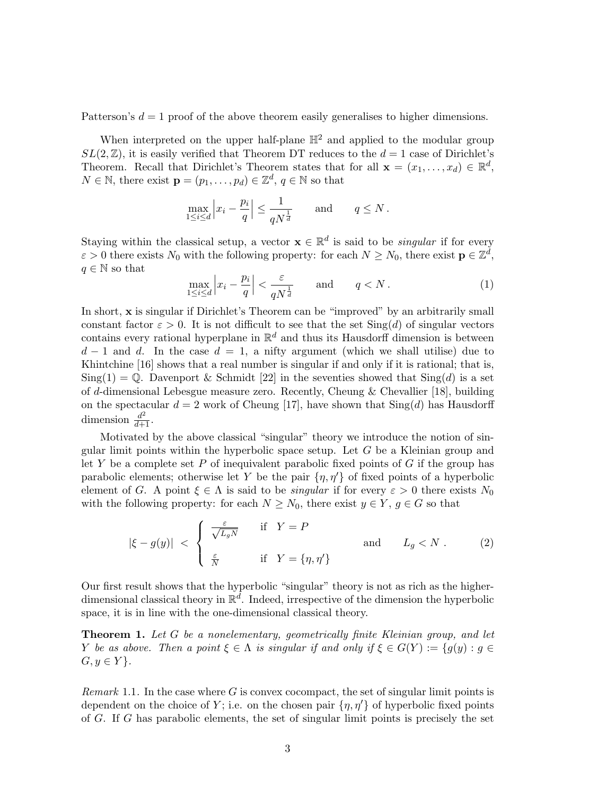Patterson's  $d = 1$  proof of the above theorem easily generalises to higher dimensions.

When interpreted on the upper half-plane  $\mathbb{H}^2$  and applied to the modular group  $SL(2, \mathbb{Z})$ , it is easily verified that Theorem DT reduces to the  $d = 1$  case of Dirichlet's Theorem. Recall that Dirichlet's Theorem states that for all  $\mathbf{x} = (x_1, \dots, x_d) \in \mathbb{R}^d$ ,  $N \in \mathbb{N}$ , there exist  $\mathbf{p} = (p_1, \dots, p_d) \in \mathbb{Z}^d$ ,  $q \in \mathbb{N}$  so that

$$
\max_{1 \le i \le d} \left| x_i - \frac{p_i}{q} \right| \le \frac{1}{qN^{\frac{1}{d}}} \quad \text{and} \quad q \le N \, .
$$

Staying within the classical setup, a vector  $\mathbf{x} \in \mathbb{R}^d$  is said to be *singular* if for every  $\varepsilon > 0$  there exists  $N_0$  with the following property: for each  $N \ge N_0$ , there exist  $\mathbf{p} \in \mathbb{Z}^d$ ,  $q \in \mathbb{N}$  so that

$$
\max_{1 \le i \le d} \left| x_i - \frac{p_i}{q} \right| < \frac{\varepsilon}{qN^{\frac{1}{d}}} \qquad \text{and} \qquad q < N \,. \tag{1}
$$

In short, x is singular if Dirichlet's Theorem can be "improved" by an arbitrarily small constant factor  $\varepsilon > 0$ . It is not difficult to see that the set  $\text{Sing}(d)$  of singular vectors contains every rational hyperplane in  $\mathbb{R}^d$  and thus its Hausdorff dimension is between  $d-1$  and d. In the case  $d=1$ , a nifty argument (which we shall utilise) due to Khintchine [16] shows that a real number is singular if and only if it is rational; that is,  $\text{Sing}(1) = \mathbb{Q}$ . Davenport & Schmidt [22] in the seventies showed that  $\text{Sing}(d)$  is a set of d-dimensional Lebesgue measure zero. Recently, Cheung & Chevallier [18], building on the spectacular  $d = 2$  work of Cheung [17], have shown that  $\text{Sing}(d)$  has Hausdorff dimension  $\frac{d^2}{d+1}$ .

Motivated by the above classical "singular" theory we introduce the notion of singular limit points within the hyperbolic space setup. Let  $G$  be a Kleinian group and let Y be a complete set P of inequivalent parabolic fixed points of  $G$  if the group has parabolic elements; otherwise let Y be the pair  $\{\eta, \eta'\}$  of fixed points of a hyperbolic element of G. A point  $\xi \in \Lambda$  is said to be *singular* if for every  $\varepsilon > 0$  there exists  $N_0$ with the following property: for each  $N \ge N_0$ , there exist  $y \in Y$ ,  $g \in G$  so that

$$
|\xi - g(y)| \leq \begin{cases} \frac{\varepsilon}{\sqrt{L_g N}} & \text{if } Y = P \\ \frac{\varepsilon}{\sqrt{N}} & \text{if } Y = \{\eta, \eta'\} \end{cases} \quad \text{and} \quad L_g < N \,. \tag{2}
$$

Our first result shows that the hyperbolic "singular" theory is not as rich as the higherdimensional classical theory in  $\mathbb{R}^d$ . Indeed, irrespective of the dimension the hyperbolic space, it is in line with the one-dimensional classical theory.

Theorem 1. *Let* G *be a nonelementary, geometrically finite Kleinian group, and let* Y *be as above. Then a point*  $\xi \in \Lambda$  *is singular if and only if*  $\xi \in G(Y) := \{g(y) : g \in G(Y) \mid g(y) \}$  $G, y \in Y$ .

*Remark* 1.1*.* In the case where G is convex cocompact, the set of singular limit points is dependent on the choice of Y; i.e. on the chosen pair  $\{\eta, \eta'\}$  of hyperbolic fixed points of G. If G has parabolic elements, the set of singular limit points is precisely the set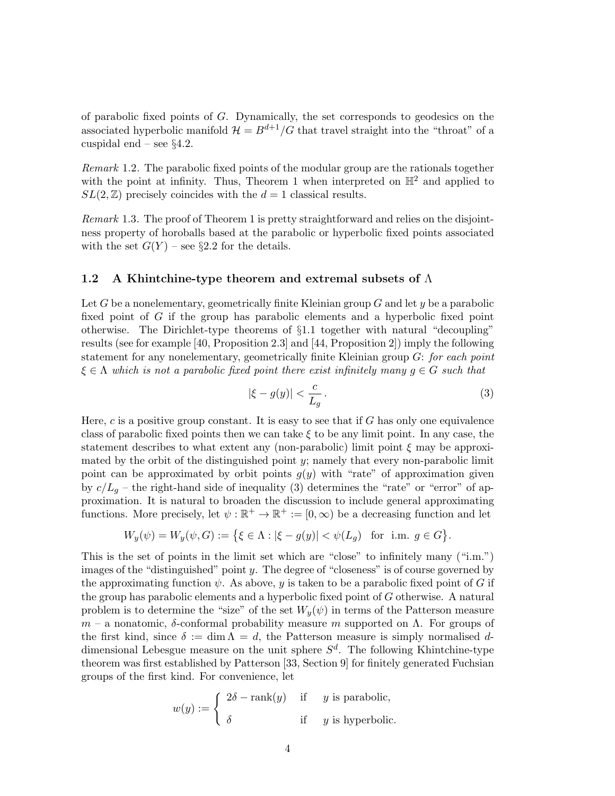of parabolic fixed points of  $G$ . Dynamically, the set corresponds to geodesics on the associated hyperbolic manifold  $\mathcal{H} = B^{d+1}/G$  that travel straight into the "throat" of a cuspidal end – see  $\S 4.2$ .

*Remark* 1.2*.* The parabolic fixed points of the modular group are the rationals together with the point at infinity. Thus, Theorem 1 when interpreted on  $\mathbb{H}^2$  and applied to  $SL(2, \mathbb{Z})$  precisely coincides with the  $d = 1$  classical results.

*Remark* 1.3*.* The proof of Theorem 1 is pretty straightforward and relies on the disjointness property of horoballs based at the parabolic or hyperbolic fixed points associated with the set  $G(Y)$  – see §2.2 for the details.

### 1.2 A Khintchine-type theorem and extremal subsets of  $\Lambda$

Let G be a nonelementary, geometrically finite Kleinian group  $G$  and let y be a parabolic fixed point of G if the group has parabolic elements and a hyperbolic fixed point otherwise. The Dirichlet-type theorems of §1.1 together with natural "decoupling" results (see for example [40, Proposition 2.3] and [44, Proposition 2]) imply the following statement for any nonelementary, geometrically finite Kleinian group G: *for each point*  $\xi \in \Lambda$  which is not a parabolic fixed point there exist infinitely many  $g \in G$  such that

$$
|\xi - g(y)| < \frac{c}{L_g} \,. \tag{3}
$$

Here, c is a positive group constant. It is easy to see that if G has only one equivalence class of parabolic fixed points then we can take  $\xi$  to be any limit point. In any case, the statement describes to what extent any (non-parabolic) limit point  $\xi$  may be approximated by the orbit of the distinguished point  $y$ ; namely that every non-parabolic limit point can be approximated by orbit points  $g(y)$  with "rate" of approximation given by  $c/L_g$  – the right-hand side of inequality (3) determines the "rate" or "error" of approximation. It is natural to broaden the discussion to include general approximating functions. More precisely, let  $\psi : \mathbb{R}^+ \to \mathbb{R}^+ := [0, \infty)$  be a decreasing function and let

$$
W_y(\psi) = W_y(\psi, G) := \{ \xi \in \Lambda : |\xi - g(y)| < \psi(L_g) \quad \text{for i.m. } g \in G \}.
$$

This is the set of points in the limit set which are "close" to infinitely many ("i.m.") images of the "distinguished" point  $y$ . The degree of "closeness" is of course governed by the approximating function  $\psi$ . As above, y is taken to be a parabolic fixed point of G if the group has parabolic elements and a hyperbolic fixed point of G otherwise. A natural problem is to determine the "size" of the set  $W_y(\psi)$  in terms of the Patterson measure  $m - a$  nonatomic, δ-conformal probability measure m supported on  $\Lambda$ . For groups of the first kind, since  $\delta := \dim \Lambda = d$ , the Patterson measure is simply normalised ddimensional Lebesgue measure on the unit sphere  $S<sup>d</sup>$ . The following Khintchine-type theorem was first established by Patterson [33, Section 9] for finitely generated Fuchsian groups of the first kind. For convenience, let

$$
w(y) := \begin{cases} 2\delta - \text{rank}(y) & \text{if } y \text{ is parabolic,} \\ \delta & \text{if } y \text{ is hyperbolic.} \end{cases}
$$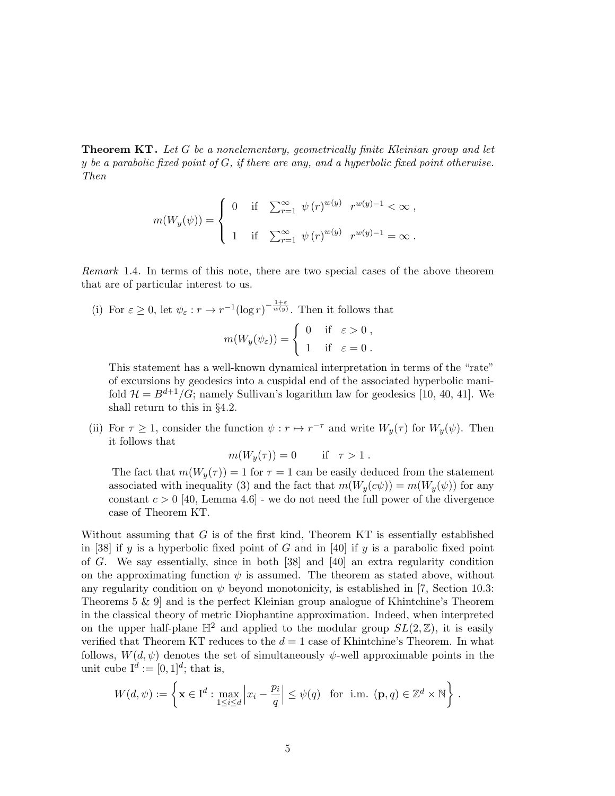Theorem KT . *Let* G *be a nonelementary, geometrically finite Kleinian group and let* y *be a parabolic fixed point of* G*, if there are any, and a hyperbolic fixed point otherwise. Then*

$$
m(W_y(\psi)) = \begin{cases} 0 & \text{if } \sum_{r=1}^{\infty} \psi(r)^{w(y)} \ r^{w(y)-1} < \infty, \\ 1 & \text{if } \sum_{r=1}^{\infty} \psi(r)^{w(y)} \ r^{w(y)-1} = \infty. \end{cases}
$$

*Remark* 1.4*.* In terms of this note, there are two special cases of the above theorem that are of particular interest to us.

(i) For  $\varepsilon \geq 0$ , let  $\psi_{\varepsilon}: r \to r^{-1}(\log r)^{-\frac{1+\varepsilon}{w(y)}}$ . Then it follows that  $m(W_y(\psi_{\varepsilon})) = \begin{cases} 0 & \text{if } \varepsilon > 0, \\ 1 & \text{if } \varepsilon > 0, \end{cases}$ 1 if  $\varepsilon = 0$ .

This statement has a well-known dynamical interpretation in terms of the "rate" of excursions by geodesics into a cuspidal end of the associated hyperbolic manifold  $\mathcal{H} = B^{d+1}/G$ ; namely Sullivan's logarithm law for geodesics [10, 40, 41]. We shall return to this in §4.2.

(ii) For  $\tau \geq 1$ , consider the function  $\psi : r \mapsto r^{-\tau}$  and write  $W_y(\tau)$  for  $W_y(\psi)$ . Then it follows that

$$
m(W_y(\tau)) = 0 \quad \text{if } \tau > 1.
$$

The fact that  $m(W_{\nu}(\tau)) = 1$  for  $\tau = 1$  can be easily deduced from the statement associated with inequality (3) and the fact that  $m(W_y(c\psi)) = m(W_y(\psi))$  for any constant  $c > 0$  [40, Lemma 4.6] - we do not need the full power of the divergence case of Theorem KT.

Without assuming that  $G$  is of the first kind, Theorem KT is essentially established in [38] if y is a hyperbolic fixed point of G and in [40] if y is a parabolic fixed point of G. We say essentially, since in both [38] and [40] an extra regularity condition on the approximating function  $\psi$  is assumed. The theorem as stated above, without any regularity condition on  $\psi$  beyond monotonicity, is established in [7, Section 10.3: Theorems 5 & 9] and is the perfect Kleinian group analogue of Khintchine's Theorem in the classical theory of metric Diophantine approximation. Indeed, when interpreted on the upper half-plane  $\mathbb{H}^2$  and applied to the modular group  $SL(2,\mathbb{Z})$ , it is easily verified that Theorem KT reduces to the  $d = 1$  case of Khintchine's Theorem. In what follows,  $W(d, \psi)$  denotes the set of simultaneously  $\psi$ -well approximable points in the unit cube  $I^d := [0,1]^d$ ; that is,

$$
W(d,\psi) := \left\{ \mathbf{x} \in \mathbf{I}^d : \max_{1 \le i \le d} \left| x_i - \frac{p_i}{q} \right| \le \psi(q) \text{ for i.m. } (\mathbf{p}, q) \in \mathbb{Z}^d \times \mathbb{N} \right\}.
$$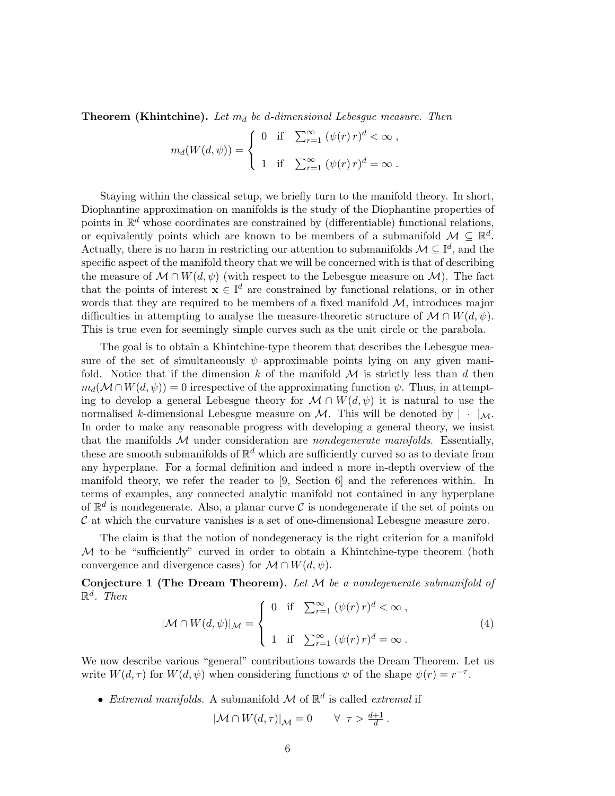Theorem (Khintchine). Let  $m_d$  be d-dimensional Lebesgue measure. Then

$$
m_d(W(d,\psi)) = \begin{cases} 0 & \text{if } \sum_{r=1}^{\infty} (\psi(r) r)^d < \infty, \\ 1 & \text{if } \sum_{r=1}^{\infty} (\psi(r) r)^d = \infty. \end{cases}
$$

Staying within the classical setup, we briefly turn to the manifold theory. In short, Diophantine approximation on manifolds is the study of the Diophantine properties of points in  $\mathbb{R}^d$  whose coordinates are constrained by (differentiable) functional relations, or equivalently points which are known to be members of a submanifold  $\mathcal{M} \subseteq \mathbb{R}^d$ . Actually, there is no harm in restricting our attention to submanifolds  $\mathcal{M} \subseteq I^d$ , and the specific aspect of the manifold theory that we will be concerned with is that of describing the measure of  $\mathcal{M} \cap W(d, \psi)$  (with respect to the Lebesgue measure on  $\mathcal{M}$ ). The fact that the points of interest  $\mathbf{x} \in \mathbf{I}^d$  are constrained by functional relations, or in other words that they are required to be members of a fixed manifold  $\mathcal{M}$ , introduces major difficulties in attempting to analyse the measure-theoretic structure of  $\mathcal{M} \cap W(d, \psi)$ . This is true even for seemingly simple curves such as the unit circle or the parabola.

The goal is to obtain a Khintchine-type theorem that describes the Lebesgue measure of the set of simultaneously  $\psi$ –approximable points lying on any given manifold. Notice that if the dimension k of the manifold  $\mathcal M$  is strictly less than d then  $m_d(\mathcal{M} \cap W(d, \psi)) = 0$  irrespective of the approximating function  $\psi$ . Thus, in attempting to develop a general Lebesgue theory for  $\mathcal{M} \cap W(d, \psi)$  it is natural to use the normalised k-dimensional Lebesgue measure on M. This will be denoted by  $|\cdot|_{\mathcal{M}}$ . In order to make any reasonable progress with developing a general theory, we insist that the manifolds M under consideration are *nondegenerate manifolds*. Essentially, these are smooth submanifolds of  $\mathbb{R}^d$  which are sufficiently curved so as to deviate from any hyperplane. For a formal definition and indeed a more in-depth overview of the manifold theory, we refer the reader to [9, Section 6] and the references within. In terms of examples, any connected analytic manifold not contained in any hyperplane of  $\mathbb{R}^d$  is nondegenerate. Also, a planar curve C is nondegenerate if the set of points on  $\mathcal C$  at which the curvature vanishes is a set of one-dimensional Lebesgue measure zero.

The claim is that the notion of nondegeneracy is the right criterion for a manifold M to be "sufficiently" curved in order to obtain a Khintchine-type theorem (both convergence and divergence cases) for  $\mathcal{M} \cap W(d, \psi)$ .

Conjecture 1 (The Dream Theorem). *Let* M *be a nondegenerate submanifold of*  $\mathbb{R}^d$ *. Then* 

$$
|\mathcal{M} \cap W(d,\psi)|_{\mathcal{M}} = \begin{cases} 0 & \text{if } \sum_{r=1}^{\infty} (\psi(r) r)^d < \infty, \\ 1 & \text{if } \sum_{r=1}^{\infty} (\psi(r) r)^d = \infty. \end{cases}
$$
 (4)

We now describe various "general" contributions towards the Dream Theorem. Let us write  $W(d, \tau)$  for  $W(d, \psi)$  when considering functions  $\psi$  of the shape  $\psi(r) = r^{-\tau}$ .

• *Extremal manifolds*. A submanifold  $M$  of  $\mathbb{R}^d$  is called *extremal* if

$$
|\mathcal{M} \cap W(d,\tau)|_{\mathcal{M}} = 0 \qquad \forall \ \tau > \frac{d+1}{d}.
$$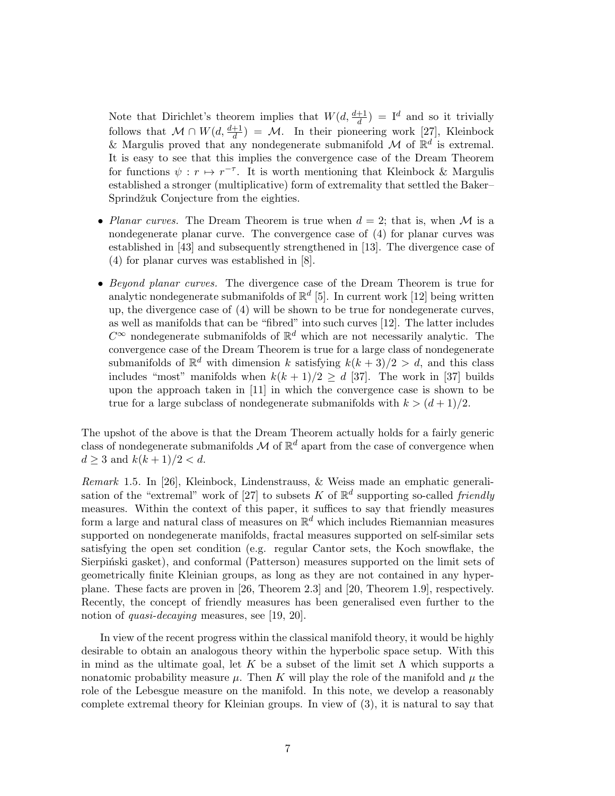Note that Dirichlet's theorem implies that  $W(d, \frac{d+1}{d}) = I^d$  and so it trivially follows that  $\mathcal{M} \cap W(d, \frac{d+1}{d}) = \mathcal{M}$ . In their pioneering work [27], Kleinbock & Margulis proved that any nondegenerate submanifold  $\mathcal M$  of  $\mathbb R^d$  is extremal. It is easy to see that this implies the convergence case of the Dream Theorem for functions  $\psi : r \mapsto r^{-\tau}$ . It is worth mentioning that Kleinbock & Margulis established a stronger (multiplicative) form of extremality that settled the Baker– Sprindžuk Conjecture from the eighties.

- *Planar curves.* The Dream Theorem is true when  $d = 2$ ; that is, when M is a nondegenerate planar curve. The convergence case of (4) for planar curves was established in [43] and subsequently strengthened in [13]. The divergence case of (4) for planar curves was established in [8].
- *Beyond planar curves.* The divergence case of the Dream Theorem is true for analytic nondegenerate submanifolds of  $\mathbb{R}^d$  [5]. In current work [12] being written up, the divergence case of (4) will be shown to be true for nondegenerate curves, as well as manifolds that can be "fibred" into such curves [12]. The latter includes  $C^{\infty}$  nondegenerate submanifolds of  $\mathbb{R}^d$  which are not necessarily analytic. The convergence case of the Dream Theorem is true for a large class of nondegenerate submanifolds of  $\mathbb{R}^d$  with dimension k satisfying  $k(k+3)/2 > d$ , and this class includes "most" manifolds when  $k(k + 1)/2 \ge d$  [37]. The work in [37] builds upon the approach taken in [11] in which the convergence case is shown to be true for a large subclass of nondegenerate submanifolds with  $k > (d+1)/2$ .

The upshot of the above is that the Dream Theorem actually holds for a fairly generic class of nondegenerate submanifolds  $\mathcal M$  of  $\mathbb R^d$  apart from the case of convergence when  $d \geq 3$  and  $k(k+1)/2 < d$ .

*Remark* 1.5*.* In [26], Kleinbock, Lindenstrauss, & Weiss made an emphatic generalisation of the "extremal" work of [27] to subsets K of  $\mathbb{R}^d$  supporting so-called *friendly* measures. Within the context of this paper, it suffices to say that friendly measures form a large and natural class of measures on  $\mathbb{R}^d$  which includes Riemannian measures supported on nondegenerate manifolds, fractal measures supported on self-similar sets satisfying the open set condition (e.g. regular Cantor sets, the Koch snowflake, the Sierpinski gasket), and conformal (Patterson) measures supported on the limit sets of geometrically finite Kleinian groups, as long as they are not contained in any hyperplane. These facts are proven in [26, Theorem 2.3] and [20, Theorem 1.9], respectively. Recently, the concept of friendly measures has been generalised even further to the notion of *quasi-decaying* measures, see [19, 20].

In view of the recent progress within the classical manifold theory, it would be highly desirable to obtain an analogous theory within the hyperbolic space setup. With this in mind as the ultimate goal, let K be a subset of the limit set  $\Lambda$  which supports a nonatomic probability measure  $\mu$ . Then K will play the role of the manifold and  $\mu$  the role of the Lebesgue measure on the manifold. In this note, we develop a reasonably complete extremal theory for Kleinian groups. In view of (3), it is natural to say that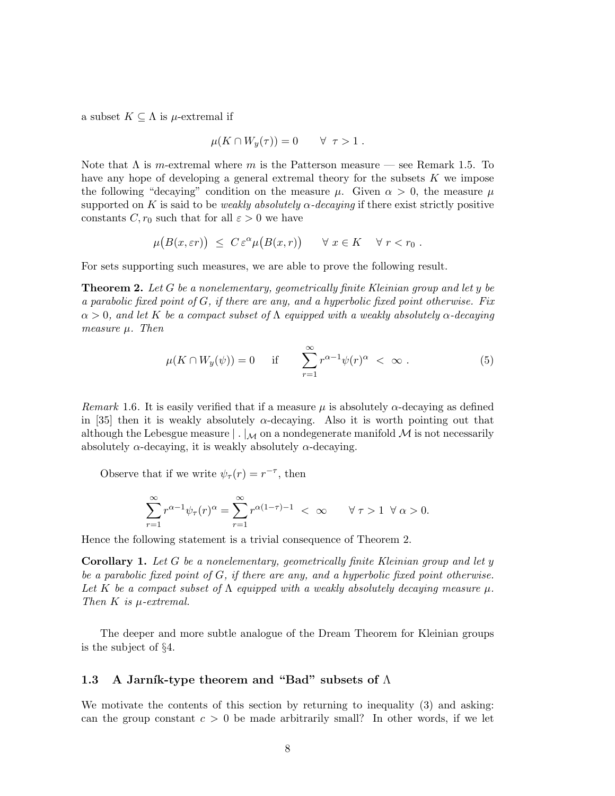a subset  $K \subseteq \Lambda$  is  $\mu$ -extremal if

$$
\mu(K \cap W_y(\tau)) = 0 \qquad \forall \ \tau > 1 .
$$

Note that  $\Lambda$  is m-extremal where m is the Patterson measure — see Remark 1.5. To have any hope of developing a general extremal theory for the subsets  $K$  we impose the following "decaying" condition on the measure  $\mu$ . Given  $\alpha > 0$ , the measure  $\mu$ supported on K is said to be *weakly absolutely*  $\alpha$ -decaying if there exist strictly positive constants C,  $r_0$  such that for all  $\varepsilon > 0$  we have

$$
\mu\big(B(x,\varepsilon r)\big) \leq C \,\varepsilon^{\alpha} \mu\big(B(x,r)\big) \qquad \forall x \in K \quad \forall r < r_0 .
$$

For sets supporting such measures, we are able to prove the following result.

Theorem 2. *Let* G *be a nonelementary, geometrically finite Kleinian group and let* y *be a parabolic fixed point of* G*, if there are any, and a hyperbolic fixed point otherwise. Fix*  $\alpha > 0$ , and let K be a compact subset of  $\Lambda$  equipped with a weakly absolutely  $\alpha$ -decaying *measure* µ*. Then*

$$
\mu(K \cap W_y(\psi)) = 0 \quad \text{if} \quad \sum_{r=1}^{\infty} r^{\alpha - 1} \psi(r)^{\alpha} < \infty \, . \tag{5}
$$

*Remark* 1.6. It is easily verified that if a measure  $\mu$  is absolutely  $\alpha$ -decaying as defined in [35] then it is weakly absolutely  $\alpha$ -decaying. Also it is worth pointing out that although the Lebesgue measure  $\vert \cdot \vert_{\mathcal{M}}$  on a nondegenerate manifold M is not necessarily absolutely  $\alpha$ -decaying, it is weakly absolutely  $\alpha$ -decaying.

Observe that if we write  $\psi_{\tau}(r) = r^{-\tau}$ , then

$$
\sum_{r=1}^{\infty} r^{\alpha-1} \psi_{\tau}(r)^{\alpha} = \sum_{r=1}^{\infty} r^{\alpha(1-\tau)-1} < \infty \qquad \forall \tau > 1 \ \forall \alpha > 0.
$$

Hence the following statement is a trivial consequence of Theorem 2.

Corollary 1. *Let* G *be a nonelementary, geometrically finite Kleinian group and let* y *be a parabolic fixed point of* G*, if there are any, and a hyperbolic fixed point otherwise.* Let K be a compact subset of  $\Lambda$  equipped with a weakly absolutely decaying measure  $\mu$ . *Then* K *is* µ*-extremal.*

The deeper and more subtle analogue of the Dream Theorem for Kleinian groups is the subject of §4.

## 1.3 A Jarník-type theorem and "Bad" subsets of  $\Lambda$

We motivate the contents of this section by returning to inequality (3) and asking: can the group constant  $c > 0$  be made arbitrarily small? In other words, if we let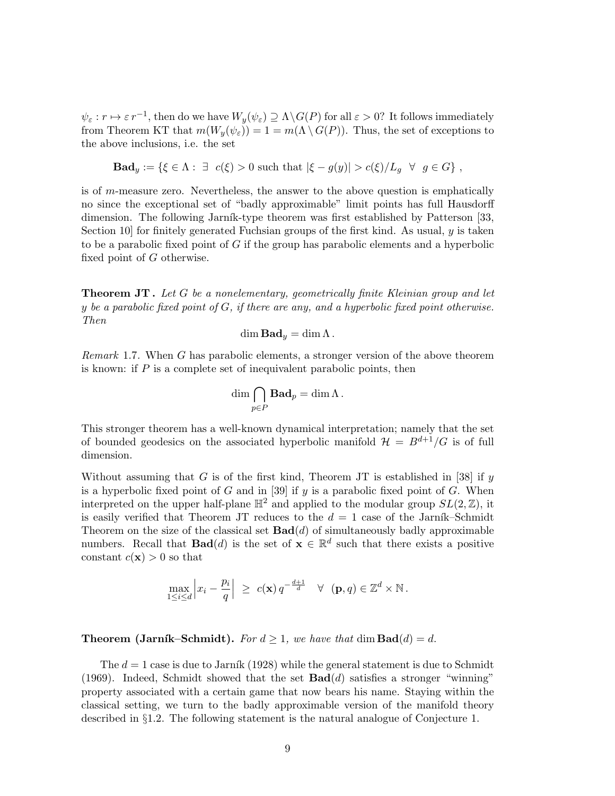$\psi_{\varepsilon}: r \mapsto \varepsilon \, r^{-1},$  then do we have  $W_y(\psi_{\varepsilon}) \supseteq \Lambda \backslash G(P)$  for all  $\varepsilon > 0$ ? It follows immediately from Theorem KT that  $m(W_y(\psi_{\varepsilon})) = 1 = m(\Lambda \setminus G(P))$ . Thus, the set of exceptions to the above inclusions, i.e. the set

$$
\mathbf{Bad}_{y} := \{ \xi \in \Lambda : \exists \ c(\xi) > 0 \text{ such that } |\xi - g(y)| > c(\xi)/L_g \ \forall \ g \in G \},
$$

is of m-measure zero. Nevertheless, the answer to the above question is emphatically no since the exceptional set of "badly approximable" limit points has full Hausdorff dimension. The following Jarník-type theorem was first established by Patterson [33, Section 10 for finitely generated Fuchsian groups of the first kind. As usual,  $y$  is taken to be a parabolic fixed point of  $G$  if the group has parabolic elements and a hyperbolic fixed point of G otherwise.

Theorem JT . *Let* G *be a nonelementary, geometrically finite Kleinian group and let* y *be a parabolic fixed point of* G*, if there are any, and a hyperbolic fixed point otherwise. Then*

$$
\dim \mathbf{Bad}_y = \dim \Lambda.
$$

*Remark* 1.7*.* When G has parabolic elements, a stronger version of the above theorem is known: if  $P$  is a complete set of inequivalent parabolic points, then

$$
\dim \bigcap_{p\in P} \mathbf{Bad}_p = \dim \Lambda.
$$

This stronger theorem has a well-known dynamical interpretation; namely that the set of bounded geodesics on the associated hyperbolic manifold  $\mathcal{H} = B^{d+1}/G$  is of full dimension.

Without assuming that G is of the first kind, Theorem JT is established in [38] if  $y$ is a hyperbolic fixed point of  $G$  and in [39] if  $y$  is a parabolic fixed point of  $G$ . When interpreted on the upper half-plane  $\mathbb{H}^2$  and applied to the modular group  $SL(2,\mathbb{Z})$ , it is easily verified that Theorem JT reduces to the  $d = 1$  case of the Jarník–Schmidt Theorem on the size of the classical set  $\text{Bad}(d)$  of simultaneously badly approximable numbers. Recall that **Bad**(*d*) is the set of  $\mathbf{x} \in \mathbb{R}^d$  such that there exists a positive constant  $c(\mathbf{x}) > 0$  so that

$$
\max_{1 \leq i \leq d} \left| x_i - \frac{p_i}{q} \right| \geq c(\mathbf{x}) q^{-\frac{d+1}{d}} \quad \forall \quad (\mathbf{p}, q) \in \mathbb{Z}^d \times \mathbb{N}.
$$

**Theorem (Jarník–Schmidt).** *For*  $d \geq 1$ , we have that  $\dim \text{Bad}(d) = d$ .

The  $d = 1$  case is due to Jarník (1928) while the general statement is due to Schmidt (1969). Indeed, Schmidt showed that the set  $\text{Bad}(d)$  satisfies a stronger "winning" property associated with a certain game that now bears his name. Staying within the classical setting, we turn to the badly approximable version of the manifold theory described in §1.2. The following statement is the natural analogue of Conjecture 1.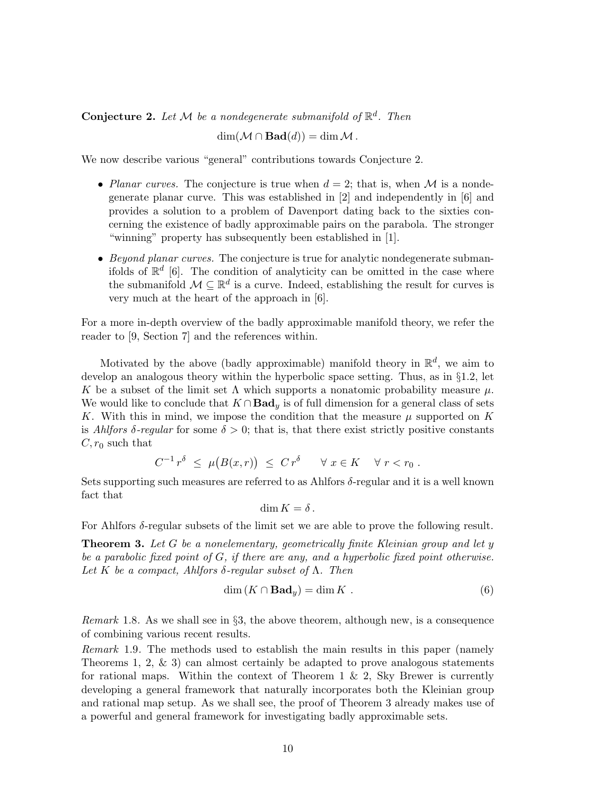**Conjecture 2.** Let  $M$  be a nondegenerate submanifold of  $\mathbb{R}^d$ . Then  $\dim(\mathcal{M} \cap \text{Bad}(d)) = \dim \mathcal{M}.$ 

We now describe various "general" contributions towards Conjecture 2.

- *Planar curves.* The conjecture is true when  $d = 2$ ; that is, when M is a nondegenerate planar curve. This was established in [2] and independently in [6] and provides a solution to a problem of Davenport dating back to the sixties concerning the existence of badly approximable pairs on the parabola. The stronger "winning" property has subsequently been established in [1].
- *Beyond planar curves.* The conjecture is true for analytic nondegenerate submanifolds of  $\mathbb{R}^d$  [6]. The condition of analyticity can be omitted in the case where the submanifold  $\mathcal{M} \subseteq \mathbb{R}^d$  is a curve. Indeed, establishing the result for curves is very much at the heart of the approach in [6].

For a more in-depth overview of the badly approximable manifold theory, we refer the reader to [9, Section 7] and the references within.

Motivated by the above (badly approximable) manifold theory in  $\mathbb{R}^d$ , we aim to develop an analogous theory within the hyperbolic space setting. Thus, as in §1.2, let K be a subset of the limit set  $\Lambda$  which supports a nonatomic probability measure  $\mu$ . We would like to conclude that  $K \cap \textbf{Bad}_y$  is of full dimension for a general class of sets K. With this in mind, we impose the condition that the measure  $\mu$  supported on K is *Ahlfors*  $\delta$ -regular for some  $\delta > 0$ ; that is, that there exist strictly positive constants  $C, r_0$  such that

$$
C^{-1} r^{\delta} \leq \mu(B(x,r)) \leq C r^{\delta} \quad \forall x \in K \quad \forall r < r_0 .
$$

Sets supporting such measures are referred to as Ahlfors  $\delta$ -regular and it is a well known fact that

dim  $K = \delta$ .

For Ahlfors δ-regular subsets of the limit set we are able to prove the following result.

Theorem 3. *Let* G *be a nonelementary, geometrically finite Kleinian group and let* y *be a parabolic fixed point of* G*, if there are any, and a hyperbolic fixed point otherwise. Let* K *be a compact, Ahlfors* δ*-regular subset of* Λ*. Then*

$$
\dim (K \cap \mathbf{Bad}_y) = \dim K . \tag{6}
$$

*Remark* 1.8*.* As we shall see in §3, the above theorem, although new, is a consequence of combining various recent results.

*Remark* 1.9*.* The methods used to establish the main results in this paper (namely Theorems 1, 2,  $\&$  3) can almost certainly be adapted to prove analogous statements for rational maps. Within the context of Theorem 1 & 2, Sky Brewer is currently developing a general framework that naturally incorporates both the Kleinian group and rational map setup. As we shall see, the proof of Theorem 3 already makes use of a powerful and general framework for investigating badly approximable sets.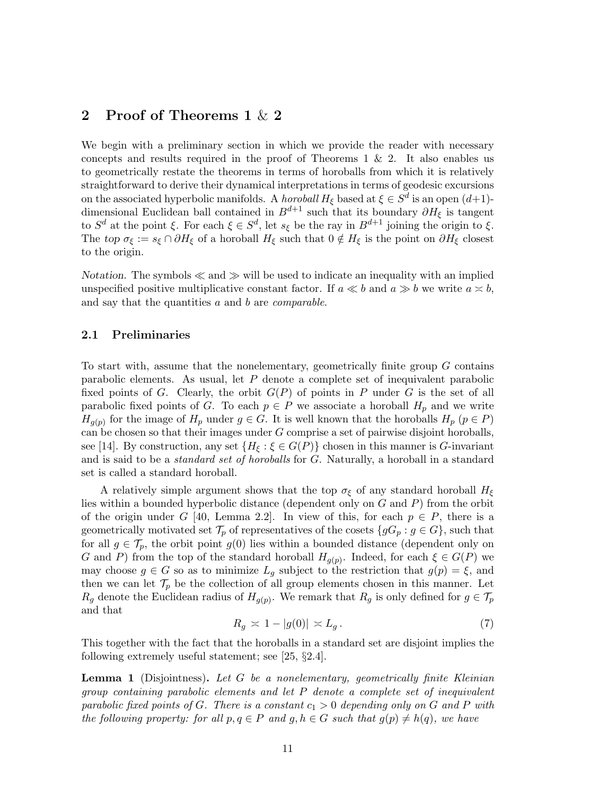# 2 Proof of Theorems 1 & 2

We begin with a preliminary section in which we provide the reader with necessary concepts and results required in the proof of Theorems 1  $\&$  2. It also enables us to geometrically restate the theorems in terms of horoballs from which it is relatively straightforward to derive their dynamical interpretations in terms of geodesic excursions on the associated hyperbolic manifolds. A *horoball*  $H_{\xi}$  based at  $\xi \in S^d$  is an open  $(d+1)$ dimensional Euclidean ball contained in  $B^{d+1}$  such that its boundary  $\partial H_{\xi}$  is tangent to  $S^d$  at the point  $\xi$ . For each  $\xi \in S^d$ , let  $s_{\xi}$  be the ray in  $B^{d+1}$  joining the origin to  $\xi$ . The top  $\sigma_{\xi} := s_{\xi} \cap \partial H_{\xi}$  of a horoball  $H_{\xi}$  such that  $0 \notin H_{\xi}$  is the point on  $\partial H_{\xi}$  closest to the origin.

Notation. The symbols  $\ll$  and  $\gg$  will be used to indicate an inequality with an implied unspecified positive multiplicative constant factor. If  $a \ll b$  and  $a \gg b$  we write  $a \approx b$ , and say that the quantities a and b are *comparable*.

#### 2.1 Preliminaries

To start with, assume that the nonelementary, geometrically finite group  $G$  contains parabolic elements. As usual, let P denote a complete set of inequivalent parabolic fixed points of G. Clearly, the orbit  $G(P)$  of points in P under G is the set of all parabolic fixed points of G. To each  $p \in P$  we associate a horoball  $H_p$  and we write  $H_{g(p)}$  for the image of  $H_p$  under  $g \in G$ . It is well known that the horoballs  $H_p$   $(p \in P)$ can be chosen so that their images under  $G$  comprise a set of pairwise disjoint horoballs, see [14]. By construction, any set  $\{H_{\xi} : \xi \in G(P)\}\$  chosen in this manner is G-invariant and is said to be a *standard set of horoballs* for G. Naturally, a horoball in a standard set is called a standard horoball.

A relatively simple argument shows that the top  $\sigma_{\xi}$  of any standard horoball  $H_{\xi}$ lies within a bounded hyperbolic distance (dependent only on  $G$  and  $P$ ) from the orbit of the origin under G [40, Lemma 2.2]. In view of this, for each  $p \in P$ , there is a geometrically motivated set  $\mathcal{T}_p$  of representatives of the cosets  $\{gG_p : g \in G\}$ , such that for all  $g \in \mathcal{T}_p$ , the orbit point  $g(0)$  lies within a bounded distance (dependent only on G and P) from the top of the standard horoball  $H_{g(p)}$ . Indeed, for each  $\xi \in G(P)$  we may choose  $g \in G$  so as to minimize  $L_g$  subject to the restriction that  $g(p) = \xi$ , and then we can let  $\mathcal{T}_p$  be the collection of all group elements chosen in this manner. Let  $R_g$  denote the Euclidean radius of  $H_{g(p)}$ . We remark that  $R_g$  is only defined for  $g \in \mathcal{T}_p$ and that

$$
R_g \asymp 1 - |g(0)| \asymp L_g. \tag{7}
$$

This together with the fact that the horoballs in a standard set are disjoint implies the following extremely useful statement; see [25, §2.4].

Lemma 1 (Disjointness). *Let* G *be a nonelementary, geometrically finite Kleinian group containing parabolic elements and let* P *denote a complete set of inequivalent parabolic fixed points of* G*. There is a constant* c<sup>1</sup> > 0 *depending only on* G *and* P *with the following property: for all*  $p, q \in P$  *and*  $g, h \in G$  *such that*  $g(p) \neq h(q)$ *, we have*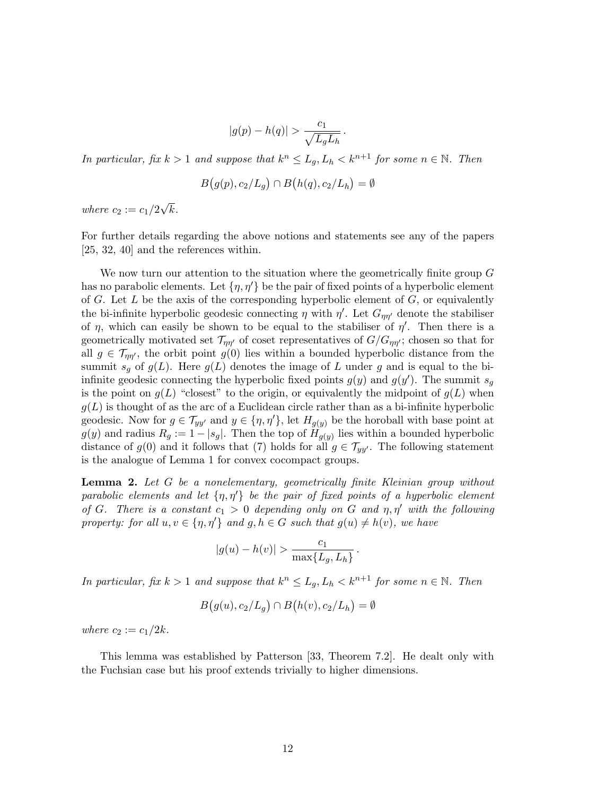$$
|g(p) - h(q)| > \frac{c_1}{\sqrt{L_g L_h}}
$$

.

*In particular, fix*  $k > 1$  *and suppose that*  $k^n \le L_g$ ,  $L_h < k^{n+1}$  *for some*  $n \in \mathbb{N}$ *. Then* 

$$
B(g(p), c_2/L_g) \cap B(h(q), c_2/L_h) = \emptyset
$$

*where*  $c_2 := c_1/2\sqrt{k}$ .

For further details regarding the above notions and statements see any of the papers [25, 32, 40] and the references within.

We now turn our attention to the situation where the geometrically finite group G has no parabolic elements. Let  $\{\eta, \eta'\}$  be the pair of fixed points of a hyperbolic element of G. Let L be the axis of the corresponding hyperbolic element of  $G$ , or equivalently the bi-infinite hyperbolic geodesic connecting  $\eta$  with  $\eta'$ . Let  $G_{\eta\eta'}$  denote the stabiliser of  $\eta$ , which can easily be shown to be equal to the stabiliser of  $\eta'$ . Then there is a geometrically motivated set  $\mathcal{T}_{\eta\eta'}$  of coset representatives of  $G/G_{\eta\eta'}$ ; chosen so that for all  $g \in \mathcal{T}_{nn'}$ , the orbit point  $g(0)$  lies within a bounded hyperbolic distance from the summit  $s_q$  of  $g(L)$ . Here  $g(L)$  denotes the image of L under g and is equal to the biinfinite geodesic connecting the hyperbolic fixed points  $g(y)$  and  $g(y')$ . The summit  $s_g$ is the point on  $g(L)$  "closest" to the origin, or equivalently the midpoint of  $g(L)$  when  $g(L)$  is thought of as the arc of a Euclidean circle rather than as a bi-infinite hyperbolic geodesic. Now for  $g \in \mathcal{T}_{yy'}$  and  $y \in \{\eta, \eta'\}$ , let  $H_{q(y)}$  be the horoball with base point at  $g(y)$  and radius  $R_g := 1 - |s_g|$ . Then the top of  $H_{g(y)}$  lies within a bounded hyperbolic distance of  $g(0)$  and it follows that (7) holds for all  $g \in \mathcal{T}_{yy'}$ . The following statement is the analogue of Lemma 1 for convex cocompact groups.

Lemma 2. *Let* G *be a nonelementary, geometrically finite Kleinian group without parabolic elements and let* {η, η′} *be the pair of fixed points of a hyperbolic element of* G. There is a constant  $c_1 > 0$  depending only on G and  $\eta$ ,  $\eta'$  with the following *property: for all*  $u, v \in \{\eta, \eta'\}$  *and*  $g, h \in G$  *such that*  $g(u) \neq h(v)$ *, we have* 

$$
|g(u) - h(v)| > \frac{c_1}{\max\{L_g, L_h\}}.
$$

*In particular, fix*  $k > 1$  *and suppose that*  $k^n \le L_g$ ,  $L_h < k^{n+1}$  *for some*  $n \in \mathbb{N}$ *. Then* 

$$
B(g(u), c_2/L_g) \cap B(h(v), c_2/L_h) = \emptyset
$$

*where*  $c_2 := c_1/2k$ .

This lemma was established by Patterson [33, Theorem 7.2]. He dealt only with the Fuchsian case but his proof extends trivially to higher dimensions.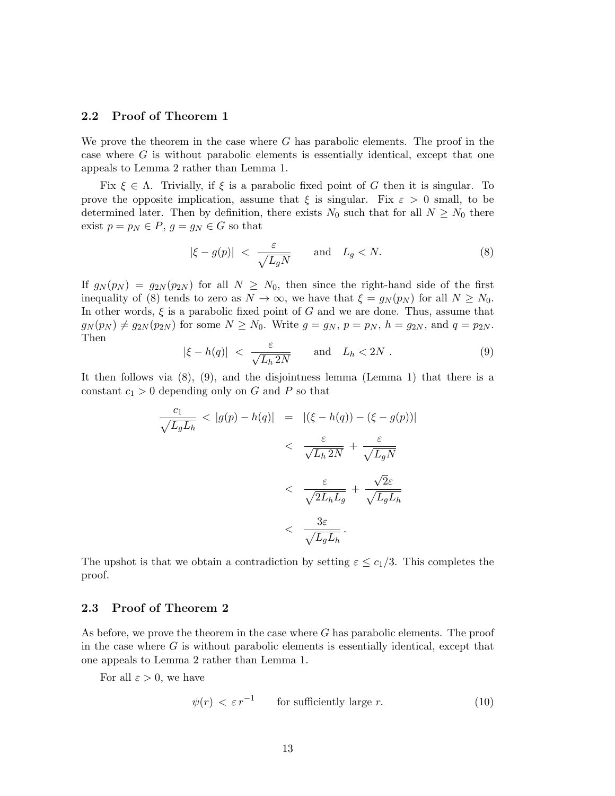## 2.2 Proof of Theorem 1

We prove the theorem in the case where  $G$  has parabolic elements. The proof in the case where  $G$  is without parabolic elements is essentially identical, except that one appeals to Lemma 2 rather than Lemma 1.

Fix  $\xi \in \Lambda$ . Trivially, if  $\xi$  is a parabolic fixed point of G then it is singular. To prove the opposite implication, assume that  $\xi$  is singular. Fix  $\varepsilon > 0$  small, to be determined later. Then by definition, there exists  $N_0$  such that for all  $N \geq N_0$  there exist  $p = p_N \in P$ ,  $g = g_N \in G$  so that

$$
|\xi - g(p)| \ < \ \frac{\varepsilon}{\sqrt{L_g N}} \qquad \text{and} \quad L_g < N. \tag{8}
$$

If  $g_N(p_N) = g_{2N}(p_{2N})$  for all  $N \geq N_0$ , then since the right-hand side of the first inequality of (8) tends to zero as  $N \to \infty$ , we have that  $\xi = g_N(p_N)$  for all  $N \ge N_0$ . In other words,  $\xi$  is a parabolic fixed point of G and we are done. Thus, assume that  $g_N(p_N) \neq g_{2N}(p_{2N})$  for some  $N \geq N_0$ . Write  $g = g_N$ ,  $p = p_N$ ,  $h = g_{2N}$ , and  $q = p_{2N}$ . Then

$$
|\xi - h(q)| \; < \; \frac{\varepsilon}{\sqrt{L_h \, 2N}} \qquad \text{and} \quad L_h < 2N \; . \tag{9}
$$

It then follows via  $(8)$ ,  $(9)$ , and the disjointness lemma (Lemma 1) that there is a constant  $c_1 > 0$  depending only on G and P so that

$$
\frac{c_1}{\sqrt{L_g L_h}} < |g(p) - h(q)| = |(\xi - h(q)) - (\xi - g(p))|
$$
\n
$$
< \frac{\varepsilon}{\sqrt{L_h 2N}} + \frac{\varepsilon}{\sqrt{L_g N}}
$$
\n
$$
< \frac{\varepsilon}{\sqrt{2L_h L_g}} + \frac{\sqrt{2}\varepsilon}{\sqrt{L_g L_h}}
$$
\n
$$
< \frac{3\varepsilon}{\sqrt{L_g L_h}}.
$$

The upshot is that we obtain a contradiction by setting  $\varepsilon \leq c_1/3$ . This completes the proof.

## 2.3 Proof of Theorem 2

As before, we prove the theorem in the case where G has parabolic elements. The proof in the case where  $G$  is without parabolic elements is essentially identical, except that one appeals to Lemma 2 rather than Lemma 1.

For all  $\varepsilon > 0$ , we have

$$
\psi(r) < \varepsilon r^{-1} \qquad \text{for sufficiently large } r. \tag{10}
$$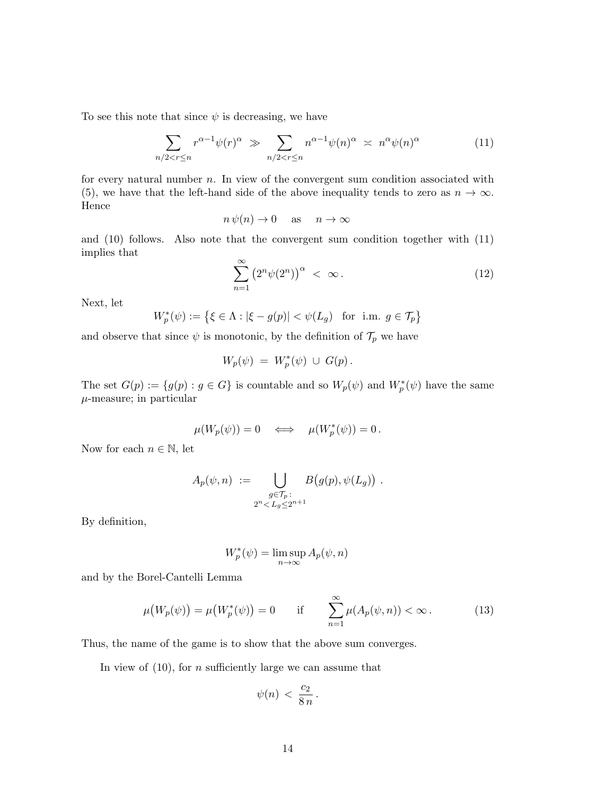To see this note that since  $\psi$  is decreasing, we have

$$
\sum_{n/2 < r \le n} r^{\alpha - 1} \psi(r)^{\alpha} \gg \sum_{n/2 < r \le n} n^{\alpha - 1} \psi(n)^{\alpha} \asymp n^{\alpha} \psi(n)^{\alpha} \tag{11}
$$

for every natural number  $n$ . In view of the convergent sum condition associated with (5), we have that the left-hand side of the above inequality tends to zero as  $n \to \infty$ . Hence

 $n \psi(n) \to 0$  as  $n \to \infty$ 

and (10) follows. Also note that the convergent sum condition together with (11) implies that

$$
\sum_{n=1}^{\infty} \left( 2^n \psi(2^n) \right)^{\alpha} < \infty. \tag{12}
$$

Next, let

$$
W_p^*(\psi) := \left\{ \xi \in \Lambda : |\xi - g(p)| < \psi(L_g) \quad \text{for i.m. } g \in \mathcal{T}_p \right\}
$$

and observe that since  $\psi$  is monotonic, by the definition of  $\mathcal{T}_p$  we have

$$
W_p(\psi) = W_p^*(\psi) \cup G(p).
$$

The set  $G(p) := \{ g(p) : g \in G \}$  is countable and so  $W_p(\psi)$  and  $W_p^*(\psi)$  have the same  $\mu$ -measure; in particular

$$
\mu(W_p(\psi)) = 0 \quad \Longleftrightarrow \quad \mu(W_p^*(\psi)) = 0 \, .
$$

Now for each  $n \in \mathbb{N}$ , let

$$
A_p(\psi, n) := \bigcup_{\substack{g \in \mathcal{T}_p \\ 2^n < L_g \le 2^{n+1}}} B(g(p), \psi(L_g)) \ .
$$

By definition,

$$
W_p^*(\psi) = \limsup_{n \to \infty} A_p(\psi, n)
$$

and by the Borel-Cantelli Lemma

$$
\mu\big(W_p(\psi)\big) = \mu\big(W_p^*(\psi)\big) = 0 \qquad \text{if} \qquad \sum_{n=1}^{\infty} \mu(A_p(\psi, n)) < \infty \,. \tag{13}
$$

Thus, the name of the game is to show that the above sum converges.

In view of  $(10)$ , for *n* sufficiently large we can assume that

$$
\psi(n) \, < \, \frac{c_2}{8 \, n} \, .
$$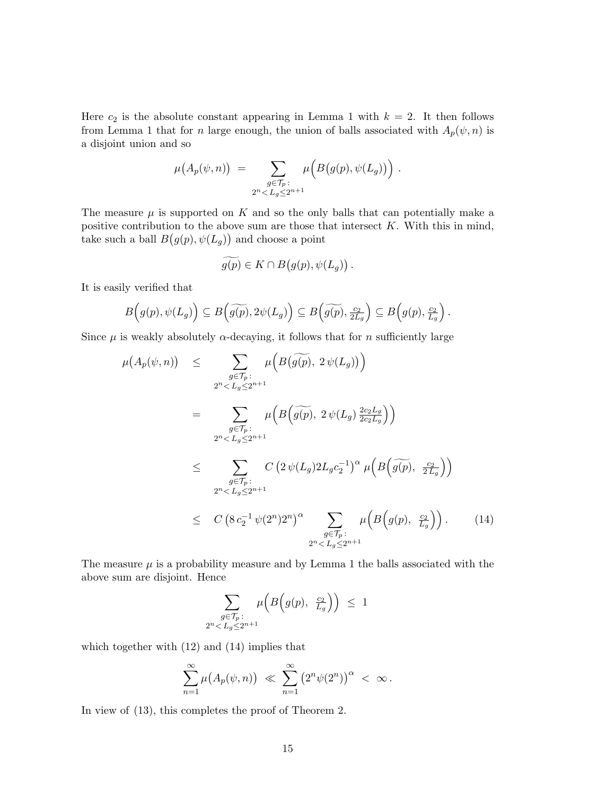Here  $c_2$  is the absolute constant appearing in Lemma 1 with  $k = 2$ . It then follows from Lemma 1 that for n large enough, the union of balls associated with  $A_p(\psi, n)$  is a disjoint union and so

$$
\mu(A_p(\psi, n)) = \sum_{\substack{g \in \mathcal{T}_p:\\2^n < L_g \leq 2^{n+1}}} \mu\Big(B\big(g(p), \psi(L_g)\big)\Big) .
$$

The measure  $\mu$  is supported on K and so the only balls that can potentially make a positive contribution to the above sum are those that intersect  $K$ . With this in mind, take such a ball  $B(g(p), \psi(L_g))$  and choose a point

$$
\widetilde{g(p)} \in K \cap B\big(g(p), \psi(L_g)\big) \, .
$$

It is easily verified that

$$
B(g(p), \psi(L_g)) \subseteq B(\widetilde{g(p)}, 2\psi(L_g)) \subseteq B(\widetilde{g(p)}, \frac{c_2}{2L_g}) \subseteq B(g(p), \frac{c_2}{L_g}).
$$

Since  $\mu$  is weakly absolutely  $\alpha$ -decaying, it follows that for n sufficiently large

$$
\mu(A_p(\psi, n)) \leq \sum_{\substack{g \in \mathcal{T}_p:\\ 2^n < L_g \leq 2^{n+1}}} \mu\Big(B\big(\widetilde{g(p)}, 2\,\psi(L_g)\big)\Big)
$$
\n
$$
= \sum_{\substack{g \in \mathcal{T}_p:\\ 2^n < L_g \leq 2^{n+1}}} \mu\Big(B\big(\widetilde{g(p)}, 2\,\psi(L_g)\frac{2c_2L_g}{2c_2L_g}\Big)\Big)
$$
\n
$$
\leq \sum_{\substack{g \in \mathcal{T}_p:\\ 2^n < L_g \leq 2^{n+1}}} C\big(2\,\psi(L_g)2L_g c_2^{-1}\big)^{\alpha} \mu\Big(B\big(\widetilde{g(p)}, \frac{c_2}{2L_g}\big)\Big)
$$
\n
$$
\leq C\big(8\,c_2^{-1}\,\psi(2^n)2^n\big)^{\alpha} \sum_{\substack{g \in \mathcal{T}_p:\\ 2^n < L_g \leq 2^{n+1}}} \mu\Big(B\big(g(p), \frac{c_2}{L_g}\big)\Big). \tag{14}
$$

The measure  $\mu$  is a probability measure and by Lemma 1 the balls associated with the above sum are disjoint. Hence

$$
\sum_{\substack{g \in \mathcal{T}_p:\\2^n < L_g \le 2^{n+1}}} \mu\Big(B\Big(g(p), \ \frac{c_2}{L_g}\Big)\Big) \ \leq \ 1
$$

which together with (12) and (14) implies that

$$
\sum_{n=1}^{\infty} \mu(A_p(\psi, n)) \ll \sum_{n=1}^{\infty} (2^n \psi(2^n))^{\alpha} < \infty.
$$

In view of (13), this completes the proof of Theorem 2.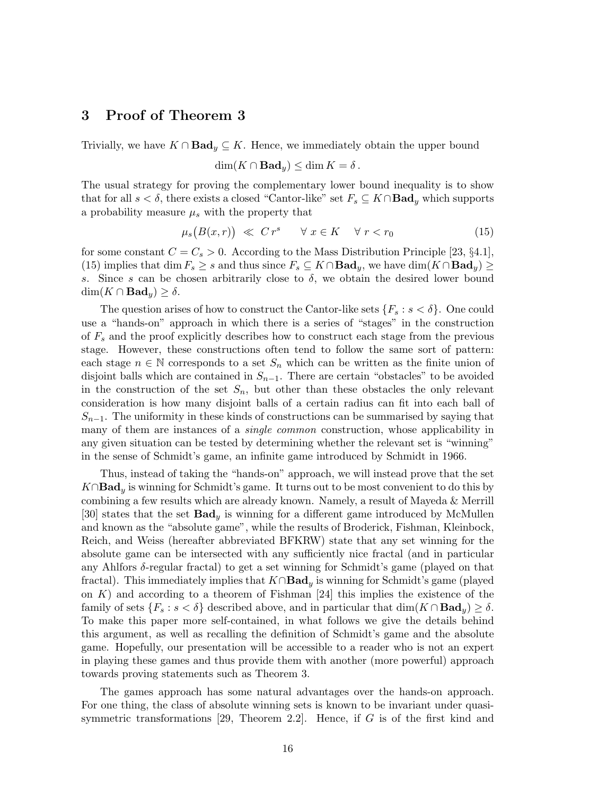# 3 Proof of Theorem 3

Trivially, we have  $K \cap \textbf{Bad}_y \subseteq K$ . Hence, we immediately obtain the upper bound

$$
\dim(K \cap \mathbf{Bad}_y) \le \dim K = \delta.
$$

The usual strategy for proving the complementary lower bound inequality is to show that for all  $s < \delta$ , there exists a closed "Cantor-like" set  $F_s \subseteq K \cap \mathbf{Bad}_y$  which supports a probability measure  $\mu_s$  with the property that

$$
\mu_s\big(B(x,r)\big) \ll C r^s \qquad \forall \ x \in K \quad \forall \ r < r_0 \tag{15}
$$

for some constant  $C = C_s > 0$ . According to the Mass Distribution Principle [23, §4.1], (15) implies that dim  $F_s \geq s$  and thus since  $F_s \subseteq K \cap \textbf{Bad}_y$ , we have  $\dim(K \cap \textbf{Bad}_y) \geq$ s. Since s can be chosen arbitrarily close to  $\delta$ , we obtain the desired lower bound  $\dim(K \cap \textbf{Bad}_y) \geq \delta.$ 

The question arises of how to construct the Cantor-like sets  $\{F_s : s < \delta\}$ . One could use a "hands-on" approach in which there is a series of "stages" in the construction of  $F_s$  and the proof explicitly describes how to construct each stage from the previous stage. However, these constructions often tend to follow the same sort of pattern: each stage  $n \in \mathbb{N}$  corresponds to a set  $S_n$  which can be written as the finite union of disjoint balls which are contained in  $S_{n-1}$ . There are certain "obstacles" to be avoided in the construction of the set  $S_n$ , but other than these obstacles the only relevant consideration is how many disjoint balls of a certain radius can fit into each ball of  $S_{n-1}$ . The uniformity in these kinds of constructions can be summarised by saying that many of them are instances of a *single common* construction, whose applicability in any given situation can be tested by determining whether the relevant set is "winning" in the sense of Schmidt's game, an infinite game introduced by Schmidt in 1966.

Thus, instead of taking the "hands-on" approach, we will instead prove that the set  $K \cap \textbf{Bad}_y$  is winning for Schmidt's game. It turns out to be most convenient to do this by combining a few results which are already known. Namely, a result of Mayeda & Merrill [30] states that the set  $\mathbf{Bad}_{y}$  is winning for a different game introduced by McMullen and known as the "absolute game", while the results of Broderick, Fishman, Kleinbock, Reich, and Weiss (hereafter abbreviated BFKRW) state that any set winning for the absolute game can be intersected with any sufficiently nice fractal (and in particular any Ahlfors  $\delta$ -regular fractal) to get a set winning for Schmidt's game (played on that fractal). This immediately implies that  $K \cap \textbf{Bad}_y$  is winning for Schmidt's game (played on  $K$ ) and according to a theorem of Fishman [24] this implies the existence of the family of sets  $\{F_s : s < \delta\}$  described above, and in particular that  $\dim(K \cap \mathbf{Bad}_y) \geq \delta$ . To make this paper more self-contained, in what follows we give the details behind this argument, as well as recalling the definition of Schmidt's game and the absolute game. Hopefully, our presentation will be accessible to a reader who is not an expert in playing these games and thus provide them with another (more powerful) approach towards proving statements such as Theorem 3.

The games approach has some natural advantages over the hands-on approach. For one thing, the class of absolute winning sets is known to be invariant under quasisymmetric transformations [29, Theorem 2.2]. Hence, if  $G$  is of the first kind and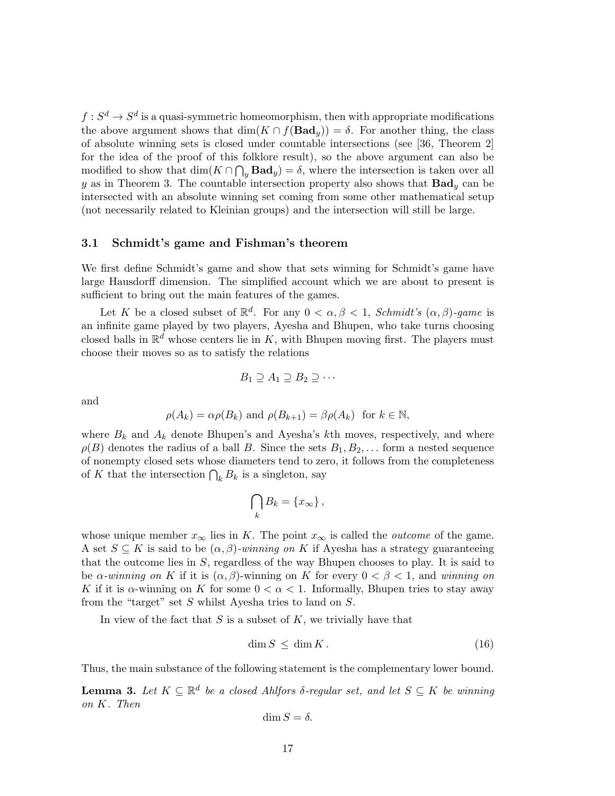$f: S^d \to S^d$  is a quasi-symmetric homeomorphism, then with appropriate modifications the above argument shows that  $\dim(K \cap f(\text{Bad}_y)) = \delta$ . For another thing, the class of absolute winning sets is closed under countable intersections (see [36, Theorem 2] for the idea of the proof of this folklore result), so the above argument can also be modified to show that  $\dim(K \cap \bigcap_y \textbf{Bad}_y) = \delta$ , where the intersection is taken over all y as in Theorem 3. The countable intersection property also shows that  $\text{Bad}_y$  can be intersected with an absolute winning set coming from some other mathematical setup (not necessarily related to Kleinian groups) and the intersection will still be large.

#### 3.1 Schmidt's game and Fishman's theorem

We first define Schmidt's game and show that sets winning for Schmidt's game have large Hausdorff dimension. The simplified account which we are about to present is sufficient to bring out the main features of the games.

Let K be a closed subset of  $\mathbb{R}^d$ . For any  $0 < \alpha, \beta < 1$ , *Schmidt's*  $(\alpha, \beta)$ -game is an infinite game played by two players, Ayesha and Bhupen, who take turns choosing closed balls in  $\mathbb{R}^d$  whose centers lie in K, with Bhupen moving first. The players must choose their moves so as to satisfy the relations

$$
B_1 \supseteq A_1 \supseteq B_2 \supseteq \cdots
$$

and

$$
\rho(A_k) = \alpha \rho(B_k)
$$
 and  $\rho(B_{k+1}) = \beta \rho(A_k)$  for  $k \in \mathbb{N}$ ,

where  $B_k$  and  $A_k$  denote Bhupen's and Ayesha's kth moves, respectively, and where  $\rho(B)$  denotes the radius of a ball B. Since the sets  $B_1, B_2, \ldots$  form a nested sequence of nonempty closed sets whose diameters tend to zero, it follows from the completeness of K that the intersection  $\bigcap_k B_k$  is a singleton, say

$$
\bigcap_k B_k = \{x_\infty\},\
$$

whose unique member  $x_{\infty}$  lies in K. The point  $x_{\infty}$  is called the *outcome* of the game. A set  $S \subseteq K$  is said to be  $(\alpha, \beta)$ *-winning on* K if Ayesha has a strategy guaranteeing that the outcome lies in S, regardless of the way Bhupen chooses to play. It is said to be  $\alpha$ -winning on K if it is  $(\alpha, \beta)$ -winning on K for every  $0 < \beta < 1$ , and winning on K if it is  $\alpha$ -winning on K for some  $0 < \alpha < 1$ . Informally, Bhupen tries to stay away from the "target" set S whilst Ayesha tries to land on S.

In view of the fact that  $S$  is a subset of  $K$ , we trivially have that

$$
\dim S \le \dim K. \tag{16}
$$

Thus, the main substance of the following statement is the complementary lower bound.

**Lemma 3.** Let  $K \subseteq \mathbb{R}^d$  be a closed Ahlfors  $\delta$ -regular set, and let  $S \subseteq K$  be winning *on* K*. Then*

$$
\dim S = \delta.
$$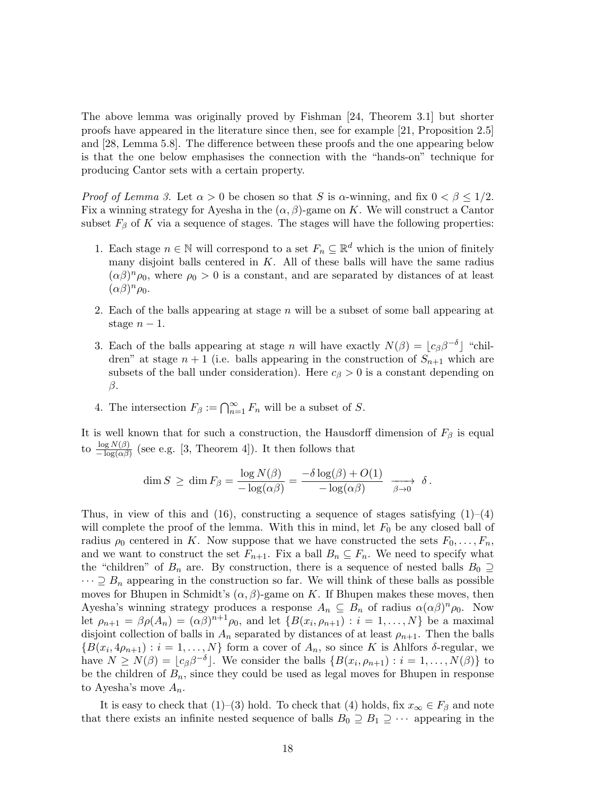The above lemma was originally proved by Fishman [24, Theorem 3.1] but shorter proofs have appeared in the literature since then, see for example [21, Proposition 2.5] and [28, Lemma 5.8]. The difference between these proofs and the one appearing below is that the one below emphasises the connection with the "hands-on" technique for producing Cantor sets with a certain property.

*Proof of Lemma 3.* Let  $\alpha > 0$  be chosen so that S is  $\alpha$ -winning, and fix  $0 < \beta \leq 1/2$ . Fix a winning strategy for Ayesha in the  $(\alpha, \beta)$ -game on K. We will construct a Cantor subset  $F_\beta$  of K via a sequence of stages. The stages will have the following properties:

- 1. Each stage  $n \in \mathbb{N}$  will correspond to a set  $F_n \subseteq \mathbb{R}^d$  which is the union of finitely many disjoint balls centered in  $K$ . All of these balls will have the same radius  $(\alpha\beta)^n \rho_0$ , where  $\rho_0 > 0$  is a constant, and are separated by distances of at least  $(\alpha\beta)^n \rho_0.$
- 2. Each of the balls appearing at stage  $n$  will be a subset of some ball appearing at stage  $n-1$ .
- 3. Each of the balls appearing at stage n will have exactly  $N(\beta) = \lfloor c_{\beta} \beta^{-\delta} \rfloor$  "children" at stage  $n + 1$  (i.e. balls appearing in the construction of  $S_{n+1}$  which are subsets of the ball under consideration). Here  $c_{\beta} > 0$  is a constant depending on  $\beta$ .
- 4. The intersection  $F_{\beta} := \bigcap_{n=1}^{\infty} F_n$  will be a subset of S.

It is well known that for such a construction, the Hausdorff dimension of  $F_\beta$  is equal to  $\frac{\log N(\beta)}{-\log(\alpha\beta)}$  (see e.g. [3, Theorem 4]). It then follows that

$$
\dim S \ge \dim F_{\beta} = \frac{\log N(\beta)}{-\log(\alpha \beta)} = \frac{-\delta \log(\beta) + O(1)}{-\log(\alpha \beta)} \xrightarrow{\beta \to 0} \delta.
$$

Thus, in view of this and (16), constructing a sequence of stages satisfying  $(1)$ – $(4)$ will complete the proof of the lemma. With this in mind, let  $F_0$  be any closed ball of radius  $\rho_0$  centered in K. Now suppose that we have constructed the sets  $F_0, \ldots, F_n$ , and we want to construct the set  $F_{n+1}$ . Fix a ball  $B_n \subseteq F_n$ . We need to specify what the "children" of  $B_n$  are. By construction, there is a sequence of nested balls  $B_0 \supseteq$  $\cdots \supseteq B_n$  appearing in the construction so far. We will think of these balls as possible moves for Bhupen in Schmidt's  $(\alpha, \beta)$ -game on K. If Bhupen makes these moves, then Ayesha's winning strategy produces a response  $A_n \subseteq B_n$  of radius  $\alpha(\alpha\beta)^n \rho_0$ . Now let  $\rho_{n+1} = \beta \rho(A_n) = (\alpha \beta)^{n+1} \rho_0$ , and let  $\{B(x_i, \rho_{n+1}) : i = 1, ..., N\}$  be a maximal disjoint collection of balls in  $A_n$  separated by distances of at least  $\rho_{n+1}$ . Then the balls  ${B(x_i, 4\rho_{n+1}) : i = 1, \ldots, N}$  form a cover of  $A_n$ , so since K is Ahlfors  $\delta$ -regular, we have  $N \ge N(\beta) = \lfloor c_{\beta} \beta^{-\delta} \rfloor$ . We consider the balls  $\{B(x_i, \rho_{n+1}) : i = 1, ..., N(\beta)\}\)$  to be the children of  $B_n$ , since they could be used as legal moves for Bhupen in response to Ayesha's move  $A_n$ .

It is easy to check that (1)–(3) hold. To check that (4) holds, fix  $x_{\infty} \in F_{\beta}$  and note that there exists an infinite nested sequence of balls  $B_0 \supseteq B_1 \supseteq \cdots$  appearing in the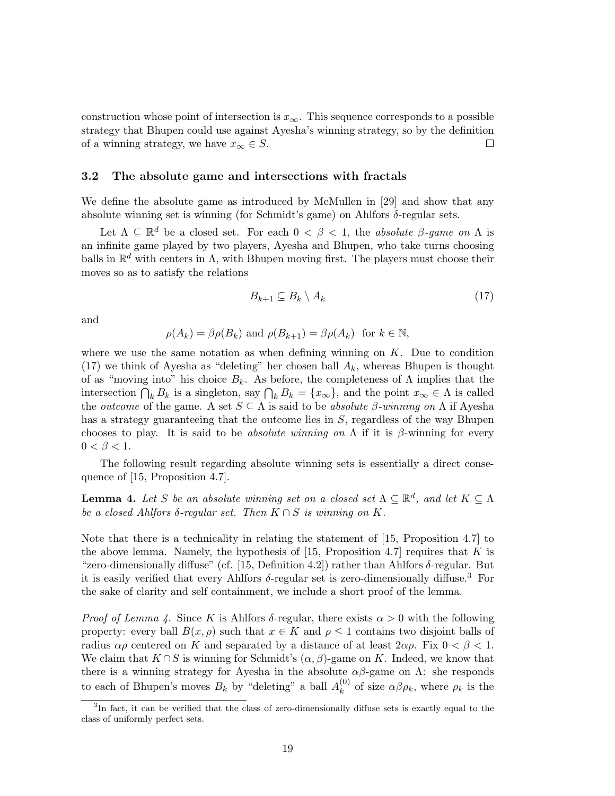construction whose point of intersection is  $x_{\infty}$ . This sequence corresponds to a possible strategy that Bhupen could use against Ayesha's winning strategy, so by the definition of a winning strategy, we have  $x_{\infty} \in S$ .  $\Box$ 

## 3.2 The absolute game and intersections with fractals

We define the absolute game as introduced by McMullen in [29] and show that any absolute winning set is winning (for Schmidt's game) on Ahlfors  $\delta$ -regular sets.

Let  $\Lambda \subseteq \mathbb{R}^d$  be a closed set. For each  $0 < \beta < 1$ , the *absolute*  $\beta$ -game on  $\Lambda$  is an infinite game played by two players, Ayesha and Bhupen, who take turns choosing balls in  $\mathbb{R}^d$  with centers in  $\Lambda$ , with Bhupen moving first. The players must choose their moves so as to satisfy the relations

$$
B_{k+1} \subseteq B_k \setminus A_k \tag{17}
$$

and

$$
\rho(A_k) = \beta \rho(B_k)
$$
 and  $\rho(B_{k+1}) = \beta \rho(A_k)$  for  $k \in \mathbb{N}$ ,

where we use the same notation as when defining winning on  $K$ . Due to condition (17) we think of Ayesha as "deleting" her chosen ball  $A_k$ , whereas Bhupen is thought of as "moving into" his choice  $B_k$ . As before, the completeness of  $\Lambda$  implies that the intersection  $\bigcap_k B_k$  is a singleton, say  $\bigcap_k B_k = \{x_\infty\}$ , and the point  $x_\infty \in \Lambda$  is called the *outcome* of the game. A set  $S \subseteq \Lambda$  is said to be *absolute*  $\beta$ -winning on  $\Lambda$  if Ayesha has a strategy guaranteeing that the outcome lies in S, regardless of the way Bhupen chooses to play. It is said to be *absolute winning on* Λ if it is β-winning for every  $0 < \beta < 1$ .

The following result regarding absolute winning sets is essentially a direct consequence of [15, Proposition 4.7].

**Lemma 4.** Let S be an absolute winning set on a closed set  $\Lambda \subseteq \mathbb{R}^d$ , and let  $K \subseteq \Lambda$ *be a closed Ahlfors*  $\delta$ -regular set. Then  $K \cap S$  *is winning on*  $K$ .

Note that there is a technicality in relating the statement of [15, Proposition 4.7] to the above lemma. Namely, the hypothesis of [15, Proposition 4.7] requires that  $K$  is "zero-dimensionally diffuse" (cf. [15, Definition 4.2]) rather than Ahlfors  $\delta$ -regular. But it is easily verified that every Ahlfors  $\delta$ -regular set is zero-dimensionally diffuse.<sup>3</sup> For the sake of clarity and self containment, we include a short proof of the lemma.

*Proof of Lemma 4.* Since K is Ahlfors  $\delta$ -regular, there exists  $\alpha > 0$  with the following property: every ball  $B(x, \rho)$  such that  $x \in K$  and  $\rho \leq 1$  contains two disjoint balls of radius  $\alpha \rho$  centered on K and separated by a distance of at least  $2\alpha \rho$ . Fix  $0 < \beta < 1$ . We claim that  $K \cap S$  is winning for Schmidt's  $(\alpha, \beta)$ -game on K. Indeed, we know that there is a winning strategy for Ayesha in the absolute  $\alpha\beta$ -game on  $\Lambda$ : she responds to each of Bhupen's moves  $B_k$  by "deleting" a ball  $A_k^{(0)}$  $\kappa^{(0)}$  of size  $\alpha\beta\rho_k$ , where  $\rho_k$  is the

<sup>&</sup>lt;sup>3</sup>In fact, it can be verified that the class of zero-dimensionally diffuse sets is exactly equal to the class of uniformly perfect sets.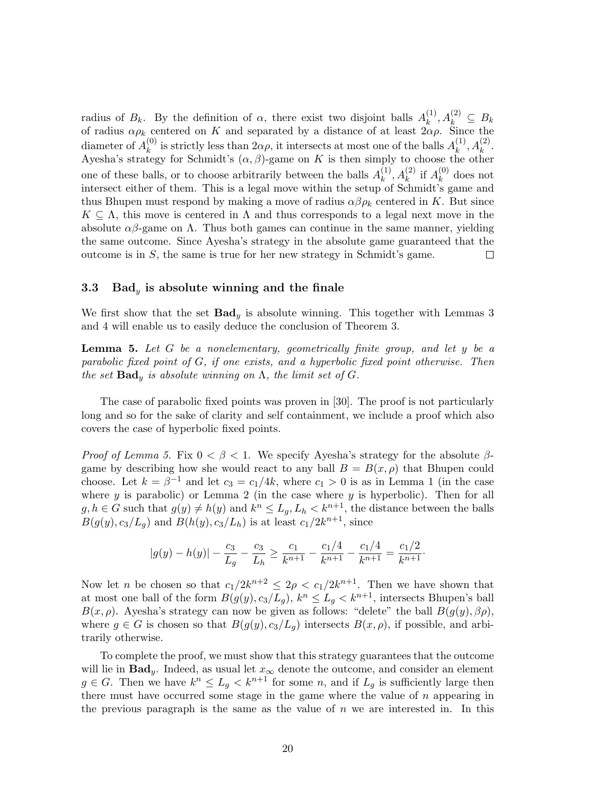radius of  $B_k$ . By the definition of  $\alpha$ , there exist two disjoint balls  $A_k^{(1)}$  $\lambda_k^{(1)}, A_k^{(2)} \,\subseteq\, B_k$ of radius  $\alpha \rho_k$  centered on K and separated by a distance of at least  $2\alpha \rho$ . Since the diameter of  $A_k^{(0)}$  $k_k^{(0)}$  is strictly less than  $2\alpha\rho$ , it intersects at most one of the balls  $A_k^{(1)}$  $\binom{(1)}{k}, A_k^{(2)}.$ Ayesha's strategy for Schmidt's  $(\alpha, \beta)$ -game on K is then simply to choose the other one of these balls, or to choose arbitrarily between the balls  $A_k^{(1)}$  $\binom{1}{k}$ ,  $A_k^{(2)}$  if  $A_k^{(0)}$  $\kappa^{(0)}$  does not intersect either of them. This is a legal move within the setup of Schmidt's game and thus Bhupen must respond by making a move of radius  $\alpha\beta\rho_k$  centered in K. But since  $K \subseteq \Lambda$ , this move is centered in  $\Lambda$  and thus corresponds to a legal next move in the absolute  $\alpha\beta$ -game on  $\Lambda$ . Thus both games can continue in the same manner, yielding the same outcome. Since Ayesha's strategy in the absolute game guaranteed that the outcome is in  $S$ , the same is true for her new strategy in Schmidt's game.  $\Box$ 

#### 3.3 Bad<sub>y</sub> is absolute winning and the finale

We first show that the set  $\mathbf{Bad}_y$  is absolute winning. This together with Lemmas 3 and 4 will enable us to easily deduce the conclusion of Theorem 3.

Lemma 5. *Let* G *be a nonelementary, geometrically finite group, and let* y *be a parabolic fixed point of* G*, if one exists, and a hyperbolic fixed point otherwise. Then the set*  $\textbf{Bad}_y$  *is absolute winning on*  $\Lambda$ *, the limit set of G.* 

The case of parabolic fixed points was proven in [30]. The proof is not particularly long and so for the sake of clarity and self containment, we include a proof which also covers the case of hyperbolic fixed points.

*Proof of Lemma 5.* Fix  $0 < \beta < 1$ . We specify Ayesha's strategy for the absolute  $\beta$ game by describing how she would react to any ball  $B = B(x, \rho)$  that Bhupen could choose. Let  $k = \beta^{-1}$  and let  $c_3 = c_1/4k$ , where  $c_1 > 0$  is as in Lemma 1 (in the case where  $y$  is parabolic) or Lemma 2 (in the case where  $y$  is hyperbolic). Then for all  $g, h \in G$  such that  $g(y) \neq h(y)$  and  $k^n \leq L_g, L_h \lt k^{n+1}$ , the distance between the balls  $B(g(y), c_3/L_g)$  and  $B(h(y), c_3/L_h)$  is at least  $c_1/2k^{n+1}$ , since

$$
|g(y) - h(y)| - \frac{c_3}{L_g} - \frac{c_3}{L_h} \ge \frac{c_1}{k^{n+1}} - \frac{c_1/4}{k^{n+1}} - \frac{c_1/4}{k^{n+1}} = \frac{c_1/2}{k^{n+1}}.
$$

Now let *n* be chosen so that  $c_1/2k^{n+2} \leq 2\rho < c_1/2k^{n+1}$ . Then we have shown that at most one ball of the form  $B(g(y), c_3/L_g)$ ,  $k^n \leq L_g < k^{n+1}$ , intersects Bhupen's ball  $B(x, \rho)$ . Ayesha's strategy can now be given as follows: "delete" the ball  $B(g(y), \beta \rho)$ , where  $g \in G$  is chosen so that  $B(g(y), c_3/L_q)$  intersects  $B(x, \rho)$ , if possible, and arbitrarily otherwise.

To complete the proof, we must show that this strategy guarantees that the outcome will lie in  $\text{Bad}_{y}$ . Indeed, as usual let  $x_{\infty}$  denote the outcome, and consider an element  $g \in G$ . Then we have  $k^n \leq L_g < k^{n+1}$  for some n, and if  $L_g$  is sufficiently large then there must have occurred some stage in the game where the value of  $n$  appearing in the previous paragraph is the same as the value of  $n$  we are interested in. In this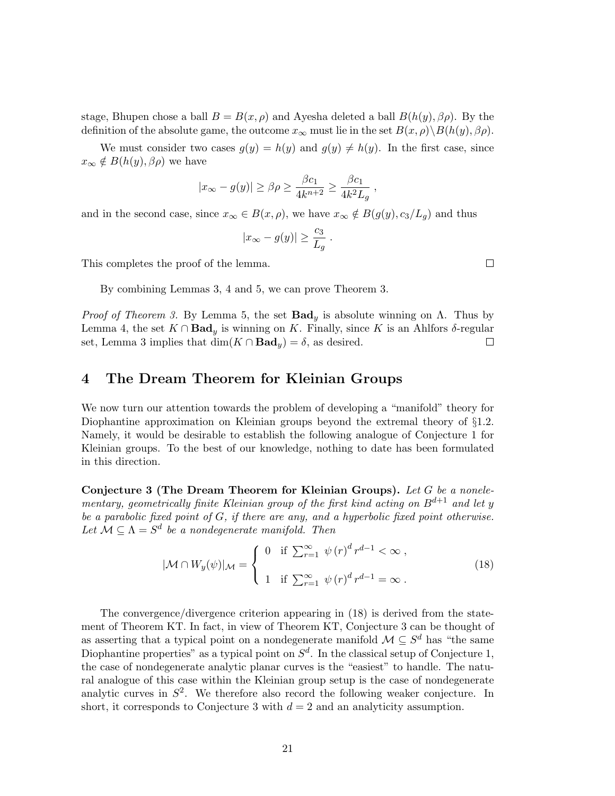stage, Bhupen chose a ball  $B = B(x, \rho)$  and Ayesha deleted a ball  $B(h(y), \beta \rho)$ . By the definition of the absolute game, the outcome  $x_{\infty}$  must lie in the set  $B(x, \rho) \setminus B(h(y), \beta \rho)$ .

We must consider two cases  $g(y) = h(y)$  and  $g(y) \neq h(y)$ . In the first case, since  $x_{\infty} \notin B(h(y), \beta \rho)$  we have

$$
|x_{\infty} - g(y)| \ge \beta \rho \ge \frac{\beta c_1}{4k^{n+2}} \ge \frac{\beta c_1}{4k^2 L_g},
$$

and in the second case, since  $x_{\infty} \in B(x, \rho)$ , we have  $x_{\infty} \notin B(g(y), c_3/L_g)$  and thus

$$
|x_{\infty} - g(y)| \ge \frac{c_3}{L_g} .
$$

This completes the proof of the lemma.

By combining Lemmas 3, 4 and 5, we can prove Theorem 3.

*Proof of Theorem 3.* By Lemma 5, the set  $\text{Bad}_y$  is absolute winning on  $\Lambda$ . Thus by Lemma 4, the set  $K \cap \textbf{Bad}_y$  is winning on K. Finally, since K is an Ahlfors δ-regular set Lemma 3 implies that  $\dim(K \cap \textbf{Bad}_v) = \delta$  as desired set, Lemma 3 implies that  $\dim(K \cap \text{Bad}_{y}) = \delta$ , as desired.

## 4 The Dream Theorem for Kleinian Groups

We now turn our attention towards the problem of developing a "manifold" theory for Diophantine approximation on Kleinian groups beyond the extremal theory of §1.2. Namely, it would be desirable to establish the following analogue of Conjecture 1 for Kleinian groups. To the best of our knowledge, nothing to date has been formulated in this direction.

Conjecture 3 (The Dream Theorem for Kleinian Groups). *Let* G *be a nonelementary, geometrically finite Kleinian group of the first kind acting on* Bd+1 *and let* y *be a parabolic fixed point of* G*, if there are any, and a hyperbolic fixed point otherwise.* Let  $\mathcal{M} \subseteq \Lambda = S^d$  be a nondegenerate manifold. Then

$$
|\mathcal{M} \cap W_y(\psi)|_{\mathcal{M}} = \begin{cases} 0 & \text{if } \sum_{r=1}^{\infty} \psi(r)^d r^{d-1} < \infty, \\ 1 & \text{if } \sum_{r=1}^{\infty} \psi(r)^d r^{d-1} = \infty. \end{cases}
$$
(18)

The convergence/divergence criterion appearing in (18) is derived from the statement of Theorem KT. In fact, in view of Theorem KT, Conjecture 3 can be thought of as asserting that a typical point on a nondegenerate manifold  $\mathcal{M} \subseteq S^d$  has "the same Diophantine properties" as a typical point on  $S^d$ . In the classical setup of Conjecture 1, the case of nondegenerate analytic planar curves is the "easiest" to handle. The natural analogue of this case within the Kleinian group setup is the case of nondegenerate analytic curves in  $S^2$ . We therefore also record the following weaker conjecture. In short, it corresponds to Conjecture 3 with  $d = 2$  and an analyticity assumption.

 $\Box$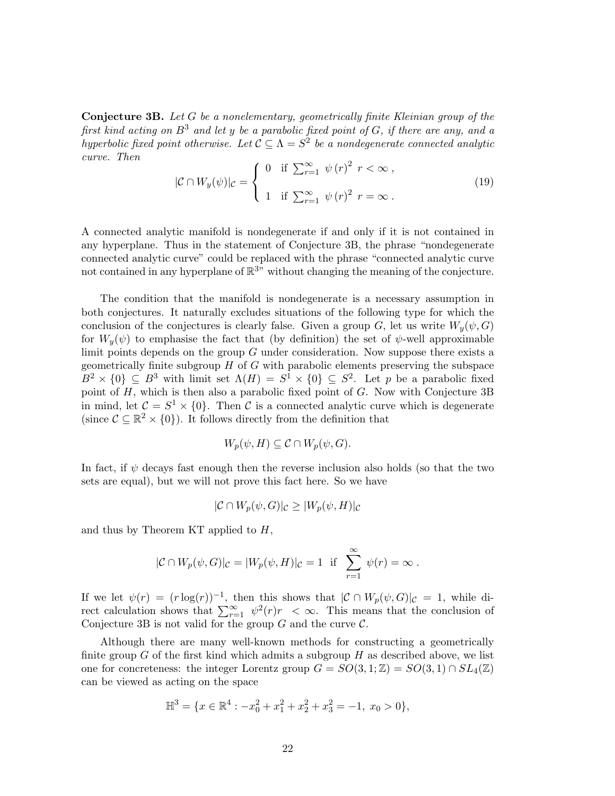Conjecture 3B. *Let* G *be a nonelementary, geometrically finite Kleinian group of the first kind acting on* B<sup>3</sup> *and let* y *be a parabolic fixed point of* G*, if there are any, and a hyperbolic fixed point otherwise.* Let  $C \subseteq \Lambda = S^2$  be a nondegenerate connected analytic *curve. Then*

$$
|\mathcal{C} \cap W_y(\psi)|_{\mathcal{C}} = \begin{cases} 0 & \text{if } \sum_{r=1}^{\infty} \psi(r)^2 \ r < \infty \,, \\ 1 & \text{if } \sum_{r=1}^{\infty} \psi(r)^2 \ r = \infty \,. \end{cases}
$$
 (19)

A connected analytic manifold is nondegenerate if and only if it is not contained in any hyperplane. Thus in the statement of Conjecture 3B, the phrase "nondegenerate connected analytic curve" could be replaced with the phrase "connected analytic curve not contained in any hyperplane of  $\mathbb{R}^{3}$ " without changing the meaning of the conjecture.

The condition that the manifold is nondegenerate is a necessary assumption in both conjectures. It naturally excludes situations of the following type for which the conclusion of the conjectures is clearly false. Given a group G, let us write  $W_y(\psi, G)$ for  $W_y(\psi)$  to emphasise the fact that (by definition) the set of  $\psi$ -well approximable limit points depends on the group  $G$  under consideration. Now suppose there exists a geometrically finite subgroup  $H$  of  $G$  with parabolic elements preserving the subspace  $B^2 \times \{0\} \subseteq B^3$  with limit set  $\Lambda(H) = S^1 \times \{0\} \subseteq S^2$ . Let p be a parabolic fixed point of  $H$ , which is then also a parabolic fixed point of  $G$ . Now with Conjecture 3B in mind, let  $\mathcal{C} = S^1 \times \{0\}$ . Then C is a connected analytic curve which is degenerate (since  $C \subseteq \mathbb{R}^2 \times \{0\}$ ). It follows directly from the definition that

$$
W_p(\psi, H) \subseteq \mathcal{C} \cap W_p(\psi, G).
$$

In fact, if  $\psi$  decays fast enough then the reverse inclusion also holds (so that the two sets are equal), but we will not prove this fact here. So we have

$$
|\mathcal{C} \cap W_p(\psi, G)|_{\mathcal{C}} \ge |W_p(\psi, H)|_{\mathcal{C}}
$$

and thus by Theorem KT applied to  $H$ ,

$$
|\mathcal{C} \cap W_p(\psi, G)|_{\mathcal{C}} = |W_p(\psi, H)|_{\mathcal{C}} = 1 \text{ if } \sum_{r=1}^{\infty} \psi(r) = \infty.
$$

If we let  $\psi(r) = (r \log(r))^{-1}$ , then this shows that  $|C \cap W_p(\psi, G)|_C = 1$ , while direct calculation shows that  $\sum_{r=1}^{\infty} \psi^2(r)r < \infty$ . This means that the conclusion of Conjecture 3B is not valid for the group  $G$  and the curve  $\mathcal{C}$ .

Although there are many well-known methods for constructing a geometrically finite group  $G$  of the first kind which admits a subgroup  $H$  as described above, we list one for concreteness: the integer Lorentz group  $G = SO(3, 1; \mathbb{Z}) = SO(3, 1) \cap SL_4(\mathbb{Z})$ can be viewed as acting on the space

$$
\mathbb{H}^3 = \{x \in \mathbb{R}^4 : -x_0^2 + x_1^2 + x_2^2 + x_3^2 = -1, \ x_0 > 0\},\
$$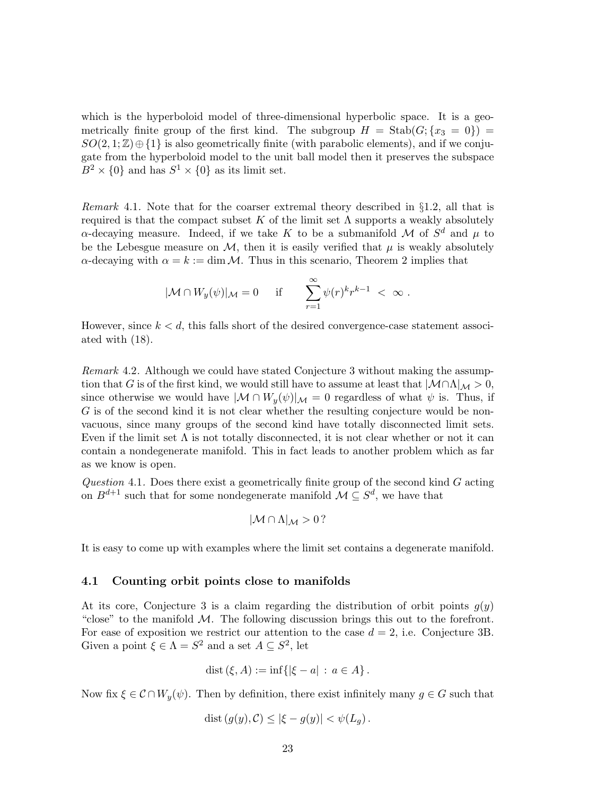which is the hyperboloid model of three-dimensional hyperbolic space. It is a geometrically finite group of the first kind. The subgroup  $H = \text{Stab}(G; \{x_3 = 0\})$  $SO(2,1;\mathbb{Z})\oplus\{1\}$  is also geometrically finite (with parabolic elements), and if we conjugate from the hyperboloid model to the unit ball model then it preserves the subspace  $B^2 \times \{0\}$  and has  $S^1 \times \{0\}$  as its limit set.

*Remark* 4.1*.* Note that for the coarser extremal theory described in §1.2, all that is required is that the compact subset K of the limit set  $\Lambda$  supports a weakly absolutely  $\alpha$ -decaying measure. Indeed, if we take K to be a submanifold M of  $S^d$  and  $\mu$  to be the Lebesgue measure on  $\mathcal{M}$ , then it is easily verified that  $\mu$  is weakly absolutely  $\alpha$ -decaying with  $\alpha = k := \dim \mathcal{M}$ . Thus in this scenario, Theorem 2 implies that

$$
|\mathcal{M} \cap W_y(\psi)|_{\mathcal{M}} = 0 \quad \text{if} \quad \sum_{r=1}^{\infty} \psi(r)^k r^{k-1} < \infty \; .
$$

However, since  $k < d$ , this falls short of the desired convergence-case statement associated with (18).

*Remark* 4.2*.* Although we could have stated Conjecture 3 without making the assumption that G is of the first kind, we would still have to assume at least that  $|\mathcal{M}\cap\Lambda|_{\mathcal{M}} > 0$ , since otherwise we would have  $|\mathcal{M} \cap W_u(\psi)|_{\mathcal{M}} = 0$  regardless of what  $\psi$  is. Thus, if G is of the second kind it is not clear whether the resulting conjecture would be nonvacuous, since many groups of the second kind have totally disconnected limit sets. Even if the limit set  $\Lambda$  is not totally disconnected, it is not clear whether or not it can contain a nondegenerate manifold. This in fact leads to another problem which as far as we know is open.

*Question* 4.1*.* Does there exist a geometrically finite group of the second kind G acting on  $B^{d+1}$  such that for some nondegenerate manifold  $\mathcal{M} \subseteq S^d$ , we have that

$$
|\mathcal{M} \cap \Lambda|_{\mathcal{M}} > 0 ?
$$

It is easy to come up with examples where the limit set contains a degenerate manifold.

#### 4.1 Counting orbit points close to manifolds

At its core, Conjecture 3 is a claim regarding the distribution of orbit points  $g(y)$ "close" to the manifold  $M$ . The following discussion brings this out to the forefront. For ease of exposition we restrict our attention to the case  $d = 2$ , i.e. Conjecture 3B. Given a point  $\xi \in \Lambda = S^2$  and a set  $A \subseteq S^2$ , let

$$
dist (\xi, A) := inf \{ |\xi - a| : a \in A \}.
$$

Now fix  $\xi \in \mathcal{C} \cap W_y(\psi)$ . Then by definition, there exist infinitely many  $g \in G$  such that

$$
dist(g(y), C) \leq |\xi - g(y)| < \psi(L_g) \, .
$$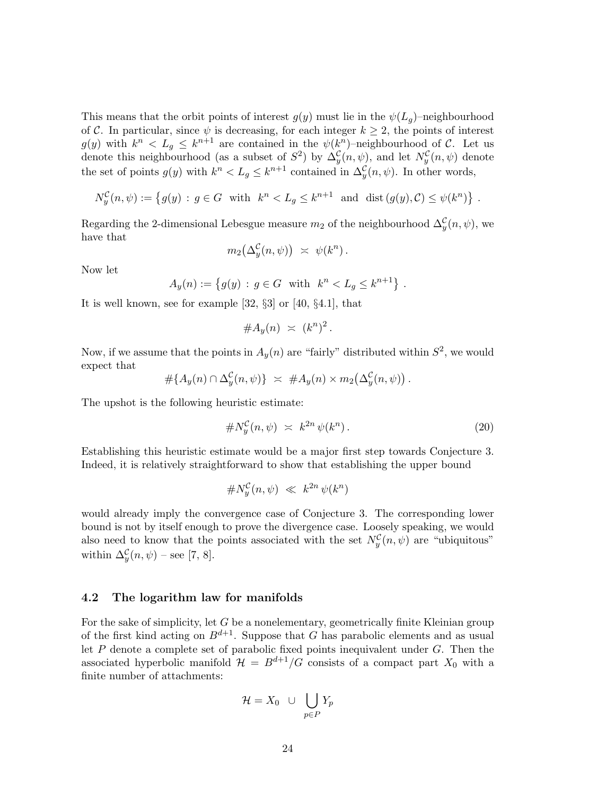This means that the orbit points of interest  $g(y)$  must lie in the  $\psi(L_q)$ –neighbourhood of C. In particular, since  $\psi$  is decreasing, for each integer  $k \geq 2$ , the points of interest  $g(y)$  with  $k^n < L_g \leq k^{n+1}$  are contained in the  $\psi(k^n)$ -neighbourhood of C. Let us denote this neighbourhood (as a subset of  $S^2$ ) by  $\Delta_y^{\mathcal{C}}(n,\psi)$ , and let  $N_y^{\mathcal{C}}(n,\psi)$  denote the set of points  $g(y)$  with  $k^n < L_g \leq k^{n+1}$  contained in  $\Delta_y^{\mathcal{C}}(n, \psi)$ . In other words,

$$
N_y^{\mathcal{C}}(n,\psi) := \left\{ g(y) : g \in G \text{ with } k^n < L_g \le k^{n+1} \text{ and } \text{dist}(g(y), \mathcal{C}) \le \psi(k^n) \right\}.
$$

Regarding the 2-dimensional Lebesgue measure  $m_2$  of the neighbourhood  $\Delta_y^{\mathcal{C}}(n,\psi)$ , we have that

$$
m_2(\Delta_y^{\mathcal{C}}(n,\psi)) \;\asymp\; \psi(k^n)\,.
$$

Now let

$$
A_y(n) := \{ g(y) : g \in G \text{ with } k^n < L_g \le k^{n+1} \} .
$$

It is well known, see for example [32, §3] or [40, §4.1], that

$$
\#A_y(n) \ \asymp \ (k^n)^2 \, .
$$

Now, if we assume that the points in  $A_y(n)$  are "fairly" distributed within  $S^2$ , we would expect that

$$
#{A_y(n) \cap \Delta_y^{\mathcal{C}}(n,\psi)} \geq #A_y(n) \times m_2(\Delta_y^{\mathcal{C}}(n,\psi)).
$$

The upshot is the following heuristic estimate:

$$
\#N_y^{\mathcal{C}}(n,\psi) \approx k^{2n}\psi(k^n). \tag{20}
$$

Establishing this heuristic estimate would be a major first step towards Conjecture 3. Indeed, it is relatively straightforward to show that establishing the upper bound

$$
\#N_y^{\mathcal{C}}(n,\psi) \ll k^{2n} \psi(k^n)
$$

would already imply the convergence case of Conjecture 3. The corresponding lower bound is not by itself enough to prove the divergence case. Loosely speaking, we would also need to know that the points associated with the set  $N_y^{\mathcal{C}}(n,\psi)$  are "ubiquitous" within  $\Delta_y^{\mathcal{C}}(n,\psi)$  – see [7, 8].

#### 4.2 The logarithm law for manifolds

For the sake of simplicity, let G be a nonelementary, geometrically finite Kleinian group of the first kind acting on  $B^{d+1}$ . Suppose that G has parabolic elements and as usual let  $P$  denote a complete set of parabolic fixed points inequivalent under  $G$ . Then the associated hyperbolic manifold  $\mathcal{H} = B^{d+1}/G$  consists of a compact part  $X_0$  with a finite number of attachments:

$$
\mathcal{H} = X_0 \cup \bigcup_{p \in P} Y_p
$$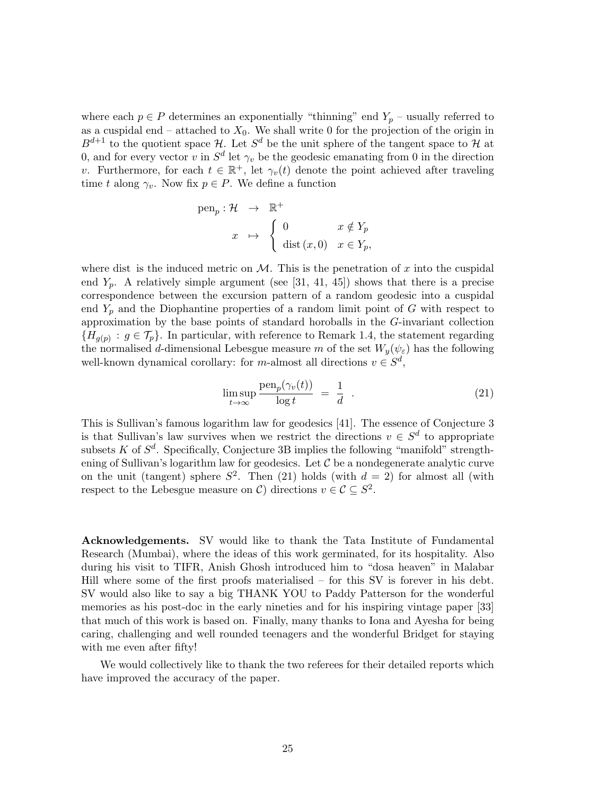where each  $p \in P$  determines an exponentially "thinning" end  $Y_p$  – usually referred to as a cuspidal end – attached to  $X_0$ . We shall write 0 for the projection of the origin in  $B^{d+1}$  to the quotient space H. Let  $S^d$  be the unit sphere of the tangent space to H at 0, and for every vector v in  $S^d$  let  $\gamma_v$  be the geodesic emanating from 0 in the direction v. Furthermore, for each  $t \in \mathbb{R}^+$ , let  $\gamma_v(t)$  denote the point achieved after traveling time t along  $\gamma_v$ . Now fix  $p \in P$ . We define a function

pen<sub>p</sub>: 
$$
\mathcal{H} \rightarrow \mathbb{R}^+
$$
  
 $x \mapsto \begin{cases} 0 & x \notin Y_p \\ \text{dist}(x,0) & x \in Y_p, \end{cases}$ 

where dist is the induced metric on  $\mathcal{M}$ . This is the penetration of x into the cuspidal end  $Y_p$ . A relatively simple argument (see [31, 41, 45]) shows that there is a precise correspondence between the excursion pattern of a random geodesic into a cuspidal end  $Y_p$  and the Diophantine properties of a random limit point of G with respect to approximation by the base points of standard horoballs in the G-invariant collection  ${H_{g(p)}: g \in \mathcal{T}_p}$ . In particular, with reference to Remark 1.4, the statement regarding the normalised d-dimensional Lebesgue measure m of the set  $W_y(\psi_{\varepsilon})$  has the following well-known dynamical corollary: for *m*-almost all directions  $v \in S^d$ ,

$$
\limsup_{t \to \infty} \frac{\text{pen}_p(\gamma_v(t))}{\log t} = \frac{1}{d} \quad . \tag{21}
$$

This is Sullivan's famous logarithm law for geodesics [41]. The essence of Conjecture 3 is that Sullivan's law survives when we restrict the directions  $v \in S^d$  to appropriate subsets K of  $S^d$ . Specifically, Conjecture 3B implies the following "manifold" strengthening of Sullivan's logarithm law for geodesics. Let  $\mathcal C$  be a nondegenerate analytic curve on the unit (tangent) sphere  $S^2$ . Then (21) holds (with  $d = 2$ ) for almost all (with respect to the Lebesgue measure on  $\mathcal{C}$ ) directions  $v \in \mathcal{C} \subseteq S^2$ .

Acknowledgements. SV would like to thank the Tata Institute of Fundamental Research (Mumbai), where the ideas of this work germinated, for its hospitality. Also during his visit to TIFR, Anish Ghosh introduced him to "dosa heaven" in Malabar Hill where some of the first proofs materialised – for this SV is forever in his debt. SV would also like to say a big THANK YOU to Paddy Patterson for the wonderful memories as his post-doc in the early nineties and for his inspiring vintage paper [33] that much of this work is based on. Finally, many thanks to Iona and Ayesha for being caring, challenging and well rounded teenagers and the wonderful Bridget for staying with me even after fifty!

We would collectively like to thank the two referees for their detailed reports which have improved the accuracy of the paper.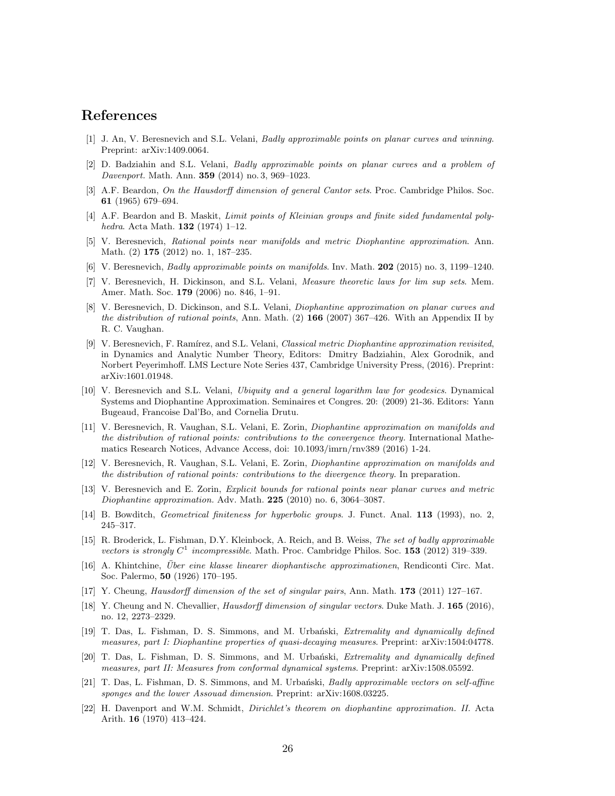# References

- [1] J. An, V. Beresnevich and S.L. Velani, Badly approximable points on planar curves and winning. Preprint: arXiv:1409.0064.
- [2] D. Badziahin and S.L. Velani, *Badly approximable points on planar curves and a problem of* Davenport. Math. Ann. 359 (2014) no. 3, 969–1023.
- [3] A.F. Beardon, On the Hausdorff dimension of general Cantor sets. Proc. Cambridge Philos. Soc. 61 (1965) 679–694.
- [4] A.F. Beardon and B. Maskit, *Limit points of Kleinian groups and finite sided fundamental poly*hedra. Acta Math. 132 (1974) 1–12.
- [5] V. Beresnevich, Rational points near manifolds and metric Diophantine approximation. Ann. Math. (2) 175 (2012) no. 1, 187–235.
- [6] V. Beresnevich, Badly approximable points on manifolds. Inv. Math. 202 (2015) no. 3, 1199–1240.
- [7] V. Beresnevich, H. Dickinson, and S.L. Velani, Measure theoretic laws for lim sup sets. Mem. Amer. Math. Soc. 179 (2006) no. 846, 1–91.
- [8] V. Beresnevich, D. Dickinson, and S.L. Velani, Diophantine approximation on planar curves and the distribution of rational points, Ann. Math.  $(2)$  166 (2007) 367–426. With an Appendix II by R. C. Vaughan.
- [9] V. Beresnevich, F. Ramírez, and S.L. Velani, Classical metric Diophantine approximation revisited, in Dynamics and Analytic Number Theory, Editors: Dmitry Badziahin, Alex Gorodnik, and Norbert Peyerimhoff. LMS Lecture Note Series 437, Cambridge University Press, (2016). Preprint: arXiv:1601.01948.
- [10] V. Beresnevich and S.L. Velani, Ubiquity and a general logarithm law for geodesics. Dynamical Systems and Diophantine Approximation. Seminaires et Congres. 20: (2009) 21-36. Editors: Yann Bugeaud, Francoise Dal'Bo, and Cornelia Drutu.
- [11] V. Beresnevich, R. Vaughan, S.L. Velani, E. Zorin, Diophantine approximation on manifolds and the distribution of rational points: contributions to the convergence theory. International Mathematics Research Notices, Advance Access, doi: 10.1093/imrn/rnv389 (2016) 1-24.
- [12] V. Beresnevich, R. Vaughan, S.L. Velani, E. Zorin, Diophantine approximation on manifolds and the distribution of rational points: contributions to the divergence theory. In preparation.
- [13] V. Beresnevich and E. Zorin, Explicit bounds for rational points near planar curves and metric Diophantine approximation. Adv. Math. 225 (2010) no. 6, 3064–3087.
- [14] B. Bowditch, Geometrical finiteness for hyperbolic groups. J. Funct. Anal. 113 (1993), no. 2, 245–317.
- [15] R. Broderick, L. Fishman, D.Y. Kleinbock, A. Reich, and B. Weiss, The set of badly approximable vectors is strongly  $C^1$  incompressible. Math. Proc. Cambridge Philos. Soc. 153 (2012) 319-339.
- [16] A. Khintchine, *Über eine klasse linearer diophantische approximationen*, Rendiconti Circ. Mat. Soc. Palermo, 50 (1926) 170–195.
- [17] Y. Cheung, Hausdorff dimension of the set of singular pairs, Ann. Math. 173 (2011) 127–167.
- [18] Y. Cheung and N. Chevallier, Hausdorff dimension of singular vectors. Duke Math. J. 165 (2016), no. 12, 2273–2329.
- [19] T. Das, L. Fishman, D. S. Simmons, and M. Urbański, *Extremality and dynamically defined* measures, part I: Diophantine properties of quasi-decaying measures. Preprint: arXiv:1504:04778.
- [20] T. Das, L. Fishman, D. S. Simmons, and M. Urbański, Extremality and dynamically defined measures, part II: Measures from conformal dynamical systems. Preprint: arXiv:1508.05592.
- [21] T. Das, L. Fishman, D. S. Simmons, and M. Urbański, Badly approximable vectors on self-affine sponges and the lower Assouad dimension. Preprint: arXiv:1608.03225.
- [22] H. Davenport and W.M. Schmidt, *Dirichlet's theorem on diophantine approximation. II.* Acta Arith. 16 (1970) 413–424.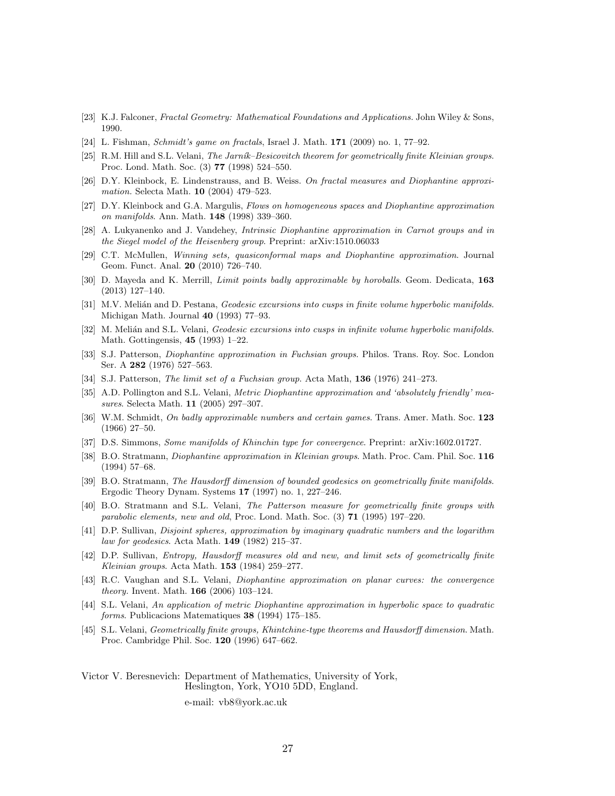- [23] K.J. Falconer, Fractal Geometry: Mathematical Foundations and Applications. John Wiley & Sons, 1990.
- [24] L. Fishman, Schmidt's game on fractals, Israel J. Math. 171 (2009) no. 1, 77–92.
- [25] R.M. Hill and S.L. Velani, The Jarník–Besicovitch theorem for geometrically finite Kleinian groups. Proc. Lond. Math. Soc. (3) 77 (1998) 524–550.
- [26] D.Y. Kleinbock, E. Lindenstrauss, and B. Weiss. On fractal measures and Diophantine approximation. Selecta Math. 10 (2004) 479–523.
- [27] D.Y. Kleinbock and G.A. Margulis, Flows on homogeneous spaces and Diophantine approximation on manifolds. Ann. Math. 148 (1998) 339–360.
- [28] A. Lukyanenko and J. Vandehey, Intrinsic Diophantine approximation in Carnot groups and in the Siegel model of the Heisenberg group. Preprint: arXiv:1510.06033
- [29] C.T. McMullen, Winning sets, quasiconformal maps and Diophantine approximation. Journal Geom. Funct. Anal. 20 (2010) 726–740.
- [30] D. Mayeda and K. Merrill, *Limit points badly approximable by horoballs*. Geom. Dedicata, 163 (2013) 127–140.
- [31] M.V. Melián and D. Pestana, Geodesic excursions into cusps in finite volume hyperbolic manifolds. Michigan Math. Journal 40 (1993) 77–93.
- [32] M. Melián and S.L. Velani, *Geodesic excursions into cusps in infinite volume hyperbolic manifolds*. Math. Gottingensis, 45 (1993) 1–22.
- [33] S.J. Patterson, Diophantine approximation in Fuchsian groups. Philos. Trans. Roy. Soc. London Ser. A 282 (1976) 527–563.
- [34] S.J. Patterson, *The limit set of a Fuchsian group*. Acta Math, **136** (1976) 241–273.
- [35] A.D. Pollington and S.L. Velani, *Metric Diophantine approximation and 'absolutely friendly' mea*sures. Selecta Math. 11 (2005) 297–307.
- [36] W.M. Schmidt, On badly approximable numbers and certain games. Trans. Amer. Math. Soc. 123 (1966) 27–50.
- [37] D.S. Simmons, Some manifolds of Khinchin type for convergence. Preprint: arXiv:1602.01727.
- [38] B.O. Stratmann, *Diophantine approximation in Kleinian groups*. Math. Proc. Cam. Phil. Soc. 116 (1994) 57–68.
- [39] B.O. Stratmann, The Hausdorff dimension of bounded geodesics on geometrically finite manifolds. Ergodic Theory Dynam. Systems 17 (1997) no. 1, 227–246.
- [40] B.O. Stratmann and S.L. Velani, The Patterson measure for geometrically finite groups with parabolic elements, new and old, Proc. Lond. Math. Soc. (3) 71 (1995) 197–220.
- [41] D.P. Sullivan, Disjoint spheres, approximation by imaginary quadratic numbers and the logarithm law for geodesics. Acta Math. 149 (1982) 215–37.
- [42] D.P. Sullivan, Entropy, Hausdorff measures old and new, and limit sets of geometrically finite Kleinian groups. Acta Math. 153 (1984) 259–277.
- [43] R.C. Vaughan and S.L. Velani, Diophantine approximation on planar curves: the convergence theory. Invent. Math. 166 (2006) 103–124.
- [44] S.L. Velani, An application of metric Diophantine approximation in hyperbolic space to quadratic forms. Publicacions Matematiques 38 (1994) 175–185.
- [45] S.L. Velani, Geometrically finite groups, Khintchine-type theorems and Hausdorff dimension. Math. Proc. Cambridge Phil. Soc. 120 (1996) 647–662.

Victor V. Beresnevich: Department of Mathematics, University of York, Heslington, York, YO10 5DD, England.

e-mail: vb8@york.ac.uk